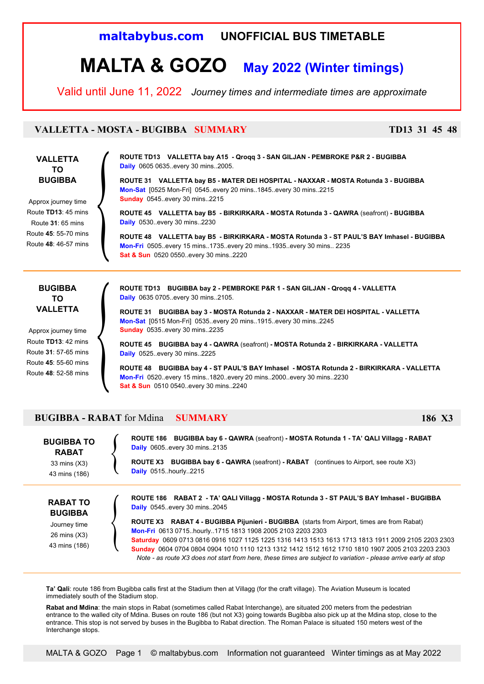## **maltabybus.com UNOFFICIAL BUS TIMETABLE**

# **MALTA & GOZO May 2022 (Winter timings)**

Valid until June 11, 2022 *Journey times and intermediate times are approximate*

### **VALLETTA - MOSTA - BUGIBBA SUMMARY TD13 31 45 48**

### **VALLETTA TO BUGIBBA**

Approx journey time Route **TD13**: 45 mins Route **31**: 65 mins Route **45**: 55-70 mins Route **48**: 46-57 mins { **ROUTE TD13 VALLETTA bay A15 - Qroqq 3 - SAN GILJAN - PEMBROKE P&R 2 - BUGIBBA Daily** 0605 0635..every 30 mins..2005.

**ROUTE 31 VALLETTA bay B5 - MATER DEI HOSPITAL - NAXXAR - MOSTA Rotunda 3 - BUGIBBA Mon-Sat** [0525 Mon-Fri] 0545..every 20 mins..1845..every 30 mins..2215 **Sunday** 0545..every 30 mins..2215

**ROUTE 45 VALLETTA bay B5 - BIRKIRKARA - MOSTA Rotunda 3 - QAWRA** (seafront) **- BUGIBBA Daily** 0530..every 30 mins..2230

**ROUTE 48 VALLETTA bay B5 - BIRKIRKARA - MOSTA Rotunda 3 - ST PAUL'S BAY Imhasel - BUGIBBA Mon-Fri** 0505..every 15 mins..1735..every 20 mins..1935..every 30 mins.. 2235 **Sat & Sun** 0520 0550..every 30 mins..2220

### **BUGIBBA TO VALLETTA**

Approx journey time Route **TD13**: 42 mins Route **31**: 57-65 mins Route **45**: 55-60 mins Route **48**: 52-58 mins **ROUTE TD13 BUGIBBA bay 2 - PEMBROKE P&R 1 - SAN GILJAN - Qroqq 4 - VALLETTA Daily** 0635 0705..every 30 mins..2105.

**ROUTE 31 BUGIBBA bay 3 - MOSTA Rotunda 2 - NAXXAR - MATER DEI HOSPITAL - VALLETTA Mon-Sat** [0515 Mon-Fri] 0535..every 20 mins..1915..every 30 mins..2245 **Sunday** 0535..every 30 mins..2235

**ROUTE 45 BUGIBBA bay 4 - QAWRA** (seafront) **- MOSTA Rotunda 2 - BIRKIRKARA - VALLETTA Daily** 0525..every 30 mins..2225

**ROUTE 48 BUGIBBA bay 4 - ST PAUL'S BAY Imhasel - MOSTA Rotunda 2 - BIRKIRKARA - VALLETTA Mon-Fri** 0520..every 15 mins..1820..every 20 mins..2000..every 30 mins..2230 **Sat & Sun** 0510 0540..every 30 mins..2240

### **BUGIBBA - RABAT** for Mdina **SUMMARY 186 X3**

 $\Big\}$ 

| <b>BUGIBBA TO</b><br><b>RABAT</b><br>33 mins (X3)<br>43 mins (186)                 | ROUTE 186 BUGIBBA bay 6 - QAWRA (seafront) - MOSTA Rotunda 1 - TA' QALI Villagg - RABAT<br><b>Daily</b> 0605. every 30 mins. 2135<br><b>BUGIBBA bay 6 - QAWRA</b> (seafront) - <b>RABAT</b> (continues to Airport, see route X3)<br><b>ROUTE X3</b><br><b>Daily</b> 0515. hourly. 2215                                                                                                                                                                                                                                                                                                                                                |
|------------------------------------------------------------------------------------|---------------------------------------------------------------------------------------------------------------------------------------------------------------------------------------------------------------------------------------------------------------------------------------------------------------------------------------------------------------------------------------------------------------------------------------------------------------------------------------------------------------------------------------------------------------------------------------------------------------------------------------|
| <b>RABAT TO</b><br><b>BUGIBBA</b><br>Journey time<br>26 mins (X3)<br>43 mins (186) | ROUTE 186 RABAT 2 - TA' QALI Villagg - MOSTA Rotunda 3 - ST PAUL'S BAY Imhasel - BUGIBBA<br><b>Daily</b> 0545. every 30 mins. 2045<br><b>ROUTE X3</b> RABAT 4 - BUGIBBA Pijunieri - BUGIBBA (starts from Airport, times are from Rabat)<br>Mon-Fri 0613 0715. hourly. 1715 1813 1908 2005 2103 2203 2303<br>Saturday 0609 0713 0816 0916 1027 1125 1225 1316 1413 1513 1613 1713 1813 1911 2009 2105 2203 2303<br>Sunday 0604 0704 0804 0904 1010 1110 1213 1312 1412 1512 1612 1710 1810 1907 2005 2103 2203 2303<br>Note - as route X3 does not start from here, these times are subject to variation - please arrive early at stop |

**Ta' Qali**: route 186 from Bugibba calls first at the Stadium then at Villagg (for the craft village). The Aviation Museum is located immediately south of the Stadium stop.

**Rabat and Mdina**: the main stops in Rabat (sometimes called Rabat Interchange), are situated 200 meters from the pedestrian entrance to the walled city of Mdina. Buses on route 186 (but not X3) going towards Bugibba also pick up at the Mdina stop, close to the entrance. This stop is not served by buses in the Bugibba to Rabat direction. The Roman Palace is situated 150 meters west of the Interchange stops.

MALTA & GOZO Page 1 © maltabybus.com Information not guaranteed Winter timings as at May 2022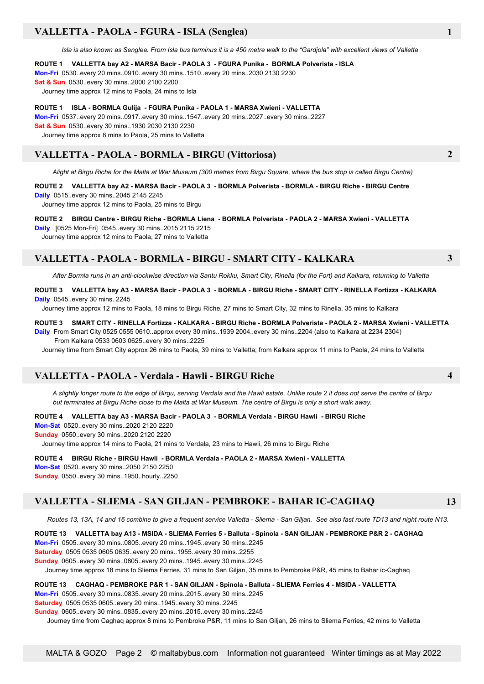### **VALLETTA - PAOLA - FGURA - ISLA (Senglea) 1**

 *Isla is also known as Senglea. From Isla bus terminus it is a 450 metre walk to the "Gardjola" with excellent views of Valletta*

#### **ROUTE 1 VALLETTA bay A2 - MARSA Bacir - PAOLA 3 - FGURA Punika - BORMLA Polverista - ISLA**

**Mon-Fri** 0530..every 20 mins..0910..every 30 mins..1510..every 20 mins..2030 2130 2230

**Sat & Sun** 0530..every 30 mins..2000 2100 2200

Journey time approx 12 mins to Paola, 24 mins to Isla

**ROUTE 1 ISLA - BORMLA Gulija - FGURA Punika - PAOLA 1 - MARSA Xwieni - VALLETTA Mon-Fri** 0537..every 20 mins..0917..every 30 mins..1547..every 20 mins..2027..every 30 mins..2227 **Sat & Sun** 0530..every 30 mins..1930 2030 2130 2230 Journey time approx 8 mins to Paola, 25 mins to Valletta

### **VALLETTA - PAOLA - BORMLA - BIRGU (Vittoriosa) 2**

*Alight at Birgu Riche for the Malta at War Museum (300 metres from Birgu Square, where the bus stop is called Birgu Centre)*

**ROUTE 2 VALLETTA bay A2 - MARSA Bacir - PAOLA 3 - BORMLA Polverista - BORMLA - BIRGU Riche - BIRGU Centre Daily** 0515..every 30 mins..2045 2145 2245

Journey time approx 12 mins to Paola, 25 mins to Birgu

#### **ROUTE 2 BIRGU Centre - BIRGU Riche - BORMLA Liena - BORMLA Polverista - PAOLA 2 - MARSA Xwieni - VALLETTA**

**Daily** [0525 Mon-Fri] 0545..every 30 mins..2015 2115 2215

Journey time approx 12 mins to Paola, 27 mins to Valletta

### **VALLETTA - PAOLA - BORMLA - BIRGU - SMART CITY - KALKARA 3**

*After Bormla runs in an anti-clockwise direction via Santu Rokku, Smart City, Rinella (for the Fort) and Kalkara, returning to Valletta*

**ROUTE 3 VALLETTA bay A3 - MARSA Bacir - PAOLA 3 - BORMLA - BIRGU Riche - SMART CITY - RINELLA Fortizza - KALKARA Daily** 0545..every 30 mins..2245

Journey time approx 12 mins to Paola, 18 mins to Birgu Riche, 27 mins to Smart City, 32 mins to Rinella, 35 mins to Kalkara

#### **ROUTE 3 SMART CITY - RINELLA Fortizza - KALKARA - BIRGU Riche - BORMLA Polverista - PAOLA 2 - MARSA Xwieni - VALLETTA**

**Daily** From Smart City 0525 0555 0610..approx every 30 mins..1939 2004..every 30 mins..2204 (also to Kalkara at 2234 2304) From Kalkara 0533 0603 0625..every 30 mins..2225

Journey time from Smart City approx 26 mins to Paola, 39 mins to Valletta; from Kalkara approx 11 mins to Paola, 24 mins to Valletta

#### **VALLETTA - PAOLA - Verdala - Hawli - BIRGU Riche 4**

*A slightly longer route to the edge of Birgu, serving Verdala and the Hawli estate. Unlike route 2 it does not serve the centre of Birgu but terminates at Birgu Riche close to the Malta at War Museum. The centre of Birgu is only a short walk away.*

**ROUTE 4 VALLETTA bay A3 - MARSA Bacir - PAOLA 3 - BORMLA Verdala - BIRGU Hawli - BIRGU Riche**

**Mon-Sat** 0520..every 30 mins..2020 2120 2220

**Sunday** 0550..every 30 mins..2020 2120 2220

Journey time approx 14 mins to Paola, 21 mins to Verdala, 23 mins to Hawli, 26 mins to Birgu Riche

#### **ROUTE 4 BIRGU Riche - BIRGU Hawli - BORMLA Verdala - PAOLA 2 - MARSA Xwieni - VALLETTA**

**Mon-Sat** 0520..every 30 mins..2050 2150 2250 **Sunday** 0550..every 30 mins..1950..hourly..2250

### **VALLETTA - SLIEMA - SAN GILJAN - PEMBROKE - BAHAR IC-CAGHAQ 13**

 *Routes 13, 13A, 14 and 16 combine to give a frequent service Valletta - Sliema - San Giljan. See also fast route TD13 and night route N13.*

**ROUTE 13 VALLETTA bay A13 - MSIDA - SLIEMA Ferries 5 - Balluta - Spinola - SAN GILJAN - PEMBROKE P&R 2 - CAGHAQ**

**Mon-Fri** 0505..every 30 mins..0805..every 20 mins..1945..every 30 mins..2245

**Saturday** 0505 0535 0605 0635..every 20 mins..1955..every 30 mins..2255

**Sunday** 0605..every 30 mins..0805..every 20 mins..1945..every 30 mins..2245

Journey time approx 18 mins to Sliema Ferries, 31 mins to San Giljan, 35 mins to Pembroke P&R, 45 mins to Bahar ic-Caghaq

**ROUTE 13 CAGHAQ - PEMBROKE P&R 1 - SAN GILJAN - Spinola - Balluta - SLIEMA Ferries 4 - MSIDA - VALLETTA Mon-Fri** 0505..every 30 mins..0835..every 20 mins..2015..every 30 mins..2245 **Saturday** 0505 0535 0605..every 20 mins..1945..every 30 mins..2245

**Sunday** 0605..every 30 mins..0835..every 20 mins..2015..every 30 mins..2245

Journey time from Caghaq approx 8 mins to Pembroke P&R, 11 mins to San Giljan, 26 mins to Sliema Ferries, 42 mins to Valletta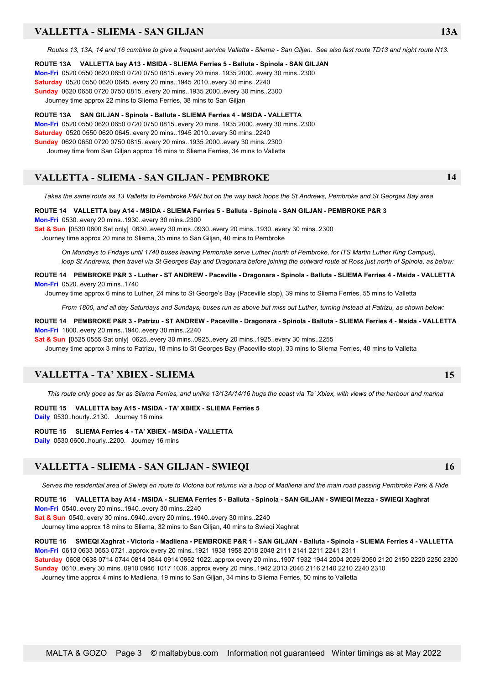### **VALLETTA - SLIEMA - SAN GILJAN 13A**

 *Routes 13, 13A, 14 and 16 combine to give a frequent service Valletta - Sliema - San Giljan. See also fast route TD13 and night route N13.*

**ROUTE 13A VALLETTA bay A13 - MSIDA - SLIEMA Ferries 5 - Balluta - Spinola - SAN GILJAN Mon-Fri** 0520 0550 0620 0650 0720 0750 0815..every 20 mins..1935 2000..every 30 mins..2300 **Saturday** 0520 0550 0620 0645..every 20 mins..1945 2010..every 30 mins..2240 **Sunday** 0620 0650 0720 0750 0815..every 20 mins..1935 2000..every 30 mins..2300 Journey time approx 22 mins to Sliema Ferries, 38 mins to San Giljan

**ROUTE 13A SAN GILJAN - Spinola - Balluta - SLIEMA Ferries 4 - MSIDA - VALLETTA Mon-Fri** 0520 0550 0620 0650 0720 0750 0815..every 20 mins..1935 2000..every 30 mins..2300 **Saturday** 0520 0550 0620 0645..every 20 mins..1945 2010..every 30 mins..2240 **Sunday** 0620 0650 0720 0750 0815..every 20 mins..1935 2000..every 30 mins..2300 Journey time from San Giljan approx 16 mins to Sliema Ferries, 34 mins to Valletta

### **VALLETTA - SLIEMA - SAN GILJAN - PEMBROKE 14**

 *Takes the same route as 13 Valletta to Pembroke P&R but on the way back loops the St Andrews, Pembroke and St Georges Bay area*

**ROUTE 14 VALLETTA bay A14 - MSIDA - SLIEMA Ferries 5 - Balluta - Spinola - SAN GILJAN - PEMBROKE P&R 3 Mon-Fri** 0530..every 20 mins..1930..every 30 mins..2300

**Sat & Sun** [0530 0600 Sat only] 0630..every 30 mins..0930..every 20 mins..1930..every 30 mins..2300

Journey time approx 20 mins to Sliema, 35 mins to San Giljan, 40 mins to Pembroke

*On Mondays to Fridays until 1740 buses leaving Pembroke serve Luther (north of Pembroke, for ITS Martin Luther King Campus), loop St Andrews, then travel via St Georges Bay and Dragonara before joining the outward route at Ross just north of Spinola, as below:*

**ROUTE 14 PEMBROKE P&R 3 - Luther - ST ANDREW - Paceville - Dragonara - Spinola - Balluta - SLIEMA Ferries 4 - Msida - VALLETTA Mon-Fri** 0520..every 20 mins..1740

Journey time approx 6 mins to Luther, 24 mins to St George's Bay (Paceville stop), 39 mins to Sliema Ferries, 55 mins to Valletta

 *From 1800, and all day Saturdays and Sundays, buses run as above but miss out Luther, turning instead at Patrizu, as shown below:*

**ROUTE 14 PEMBROKE P&R 3 - Patrizu - ST ANDREW - Paceville - Dragonara - Spinola - Balluta - SLIEMA Ferries 4 - Msida - VALLETTA Mon-Fri** 1800..every 20 mins..1940..every 30 mins..2240

**Sat & Sun** [0525 0555 Sat only] 0625..every 30 mins..0925..every 20 mins..1925..every 30 mins..2255

Journey time approx 3 mins to Patrizu, 18 mins to St Georges Bay (Paceville stop), 33 mins to Sliema Ferries, 48 mins to Valletta

### **VALLETTA - TA' XBIEX - SLIEMA 15**

 *This route only goes as far as Sliema Ferries, and unlike 13/13A/14/16 hugs the coast via Ta' Xbiex, with views of the harbour and marina*

**ROUTE 15 VALLETTA bay A15 - MSIDA - TA' XBIEX - SLIEMA Ferries 5 Daily** 0530..hourly..2130. Journey 16 mins

**ROUTE 15 SLIEMA Ferries 4 - TA' XBIEX - MSIDA - VALLETTA**

**Daily** 0530 0600..hourly..2200. Journey 16 mins

### **VALLETTA - SLIEMA - SAN GILJAN - SWIEQI 16**

*Serves the residential area of Swieqi en route to Victoria but returns via a loop of Madliena and the main road passing Pembroke Park & Ride*

**ROUTE 16 VALLETTA bay A14 - MSIDA - SLIEMA Ferries 5 - Balluta - Spinola - SAN GILJAN - SWIEQI Mezza - SWIEQI Xaghrat Mon-Fri** 0540..every 20 mins..1940..every 30 mins..2240

**Sat & Sun** 0540..every 30 mins..0940..every 20 mins..1940..every 30 mins..2240

Journey time approx 18 mins to Sliema, 32 mins to San Giljan, 40 mins to Swieqi Xaghrat

**ROUTE 16 SWIEQI Xaghrat - Victoria - Madliena - PEMBROKE P&R 1 - SAN GILJAN - Balluta - Spinola - SLIEMA Ferries 4 - VALLETTA Mon-Fri** 0613 0633 0653 0721..approx every 20 mins..1921 1938 1958 2018 2048 2111 2141 2211 2241 2311 **Saturday** 0608 0638 0714 0744 0814 0844 0914 0952 1022..approx every 20 mins..1907 1932 1944 2004 2026 2050 2120 2150 2220 2250 2320 **Sunday** 0610..every 30 mins..0910 0946 1017 1036..approx every 20 mins..1942 2013 2046 2116 2140 2210 2240 2310 Journey time approx 4 mins to Madliena, 19 mins to San Giljan, 34 mins to Sliema Ferries, 50 mins to Valletta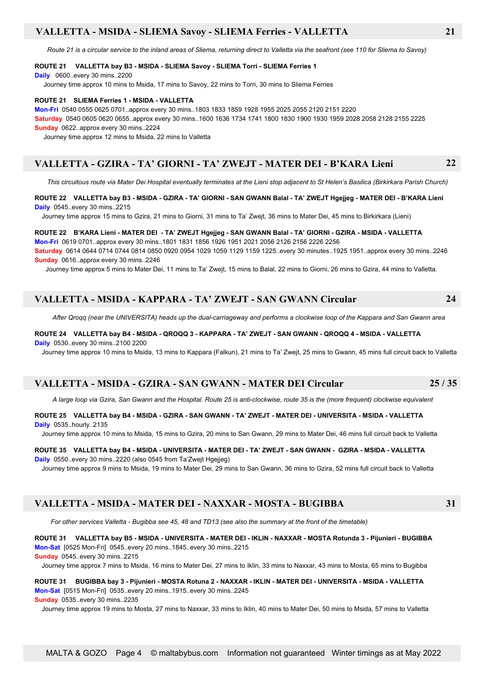### **VALLETTA - MSIDA - SLIEMA Savoy - SLIEMA Ferries - VALLETTA 21**

 *Route 21 is a circular service to the inland areas of Sliema, returning direct to Valletta via the seafront (see 110 for Sliema to Savoy)*

#### **ROUTE 21 VALLETTA bay B3 - MSIDA - SLIEMA Savoy - SLIEMA Torri - SLIEMA Ferries 1**

**Daily** 0600..every 30 mins..2200

Journey time approx 10 mins to Msida, 17 mins to Savoy, 22 mins to Torri, 30 mins to Sliema Ferries

#### **ROUTE 21 SLIEMA Ferries 1 - MSIDA - VALLETTA**

**Mon-Fri** 0540 0555 0625 0701..approx every 30 mins..1803 1833 1859 1928 1955 2025 2055 2120 2151 2220

**Saturday** 0540 0605 0620 0655..approx every 30 mins..1600 1636 1734 1741 1800 1830 1900 1930 1959 2028 2058 2128 2155 2225 **Sunday** 0622..approx every 30 mins..2224

Journey time approx 12 mins to Msida, 22 mins to Valletta

### **VALLETTA - GZIRA - TA' GIORNI - TA' ZWEJT - MATER DEI - B'KARA Lieni 22**

*This circuitous route via Mater Dei Hospital eventually terminates at the Lieni stop adjacent to St Helen's Basilica (Birkirkara Parish Church)*

#### **ROUTE 22 VALLETTA bay B3 - MSIDA - GZIRA - TA' GIORNI - SAN GWANN Balal - TA' ZWEJT Hgejjeg - MATER DEI - B'KARA Lieni Daily** 0545..every 30 mins..2215

Journey time approx 15 mins to Gzira, 21 mins to Giorni, 31 mins to Ta' Zwejt, 36 mins to Mater Dei, 45 mins to Birkirkara (Lieni)

#### **ROUTE 22 B'KARA Lieni - MATER DEI - TA' ZWEJT Hgejjeg - SAN GWANN Balal - TA' GIORNI - GZIRA - MSIDA - VALLETTA**

**Mon-Fri** 0619 0701..approx every 30 mins..1801 1831 1856 1926 1951 2021 2056 2126 2156 2226 2256

**Saturday** 0614 0644 0714 0744 0814 0850 0920 0954 1029 1059 1129 1159 1225..every 30 minutes..1925 1951..approx every 30 mins..2246 **Sunday** 0616..approx every 30 mins..2246

Journey time approx 5 mins to Mater Dei, 11 mins to Ta' Zwejt, 15 mins to Balal, 22 mins to Giorni, 26 mins to Gzira, 44 mins to Valletta.

### **VALLETTA - MSIDA - KAPPARA - TA' ZWEJT - SAN GWANN Circular 24**

 *After Qroqq (near the UNIVERSITA) heads up the dual-carriageway and performs a clockwise loop of the Kappara and San Gwann area*

#### **ROUTE 24 VALLETTA bay B4 - MSIDA - QROQQ 3 - KAPPARA - TA' ZWEJT - SAN GWANN - QROQQ 4 - MSIDA - VALLETTA Daily** 0530..every 30 mins..2100 2200

Journey time approx 10 mins to Msida, 13 mins to Kappara (Falkun), 21 mins to Ta' Zwejt, 25 mins to Gwann, 45 mins full circuit back to Valletta

### **VALLETTA - MSIDA - GZIRA - SAN GWANN - MATER DEI Circular 25 / 35**

 *A large loop via Gzira, San Gwann and the Hospital. Route 25 is anti-clockwise, route 35 is the (more frequent) clockwise equivalent*

#### **ROUTE 25 VALLETTA bay B4 - MSIDA - GZIRA - SAN GWANN - TA' ZWEJT - MATER DEI - UNIVERSITA - MSIDA - VALLETTA Daily** 0535..hourly..2135

Journey time approx 10 mins to Msida, 15 mins to Gzira, 20 mins to San Gwann, 29 mins to Mater Dei, 46 mins full circuit back to Valletta

#### **ROUTE 35 VALLETTA bay B4 - MSIDA - UNIVERSITA - MATER DEI - TA' ZWEJT - SAN GWANN - GZIRA - MSIDA - VALLETTA Daily** 0550..every 30 mins..2220 (also 0545 from Ta'Zwejt Hgejjeg)

Journey time approx 9 mins to Msida, 19 mins to Mater Dei, 29 mins to San Gwann, 36 mins to Gzira, 52 mins full circuit back to Valletta

### **VALLETTA - MSIDA - MATER DEI - NAXXAR - MOSTA - BUGIBBA 31**

 *For other services Valletta - Bugibba see 45, 48 and TD13 (see also the summary at the front of the timetable)*

**ROUTE 31 VALLETTA bay B5 - MSIDA - UNIVERSITA - MATER DEI - IKLIN - NAXXAR - MOSTA Rotunda 3 - Pijunieri - BUGIBBA Mon-Sat** [0525 Mon-Fri] 0545..every 20 mins..1845..every 30 mins..2215

**Sunday** 0545..every 30 mins..2215

Journey time approx 7 mins to Msida, 16 mins to Mater Dei, 27 mins to Iklin, 33 mins to Naxxar, 43 mins to Mosta, 65 mins to Bugibba

### **ROUTE 31 BUGIBBA bay 3 - Pijunieri - MOSTA Rotuna 2 - NAXXAR - IKLIN - MATER DEI - UNIVERSITA - MSIDA - VALLETTA Mon-Sat** [0515 Mon-Fri] 0535..every 20 mins..1915..every 30 mins..2245

**Sunday** 0535..every 30 mins..2235

Journey time approx 19 mins to Mosta, 27 mins to Naxxar, 33 mins to Iklin, 40 mins to Mater Dei, 50 mins to Msida, 57 mins to Valletta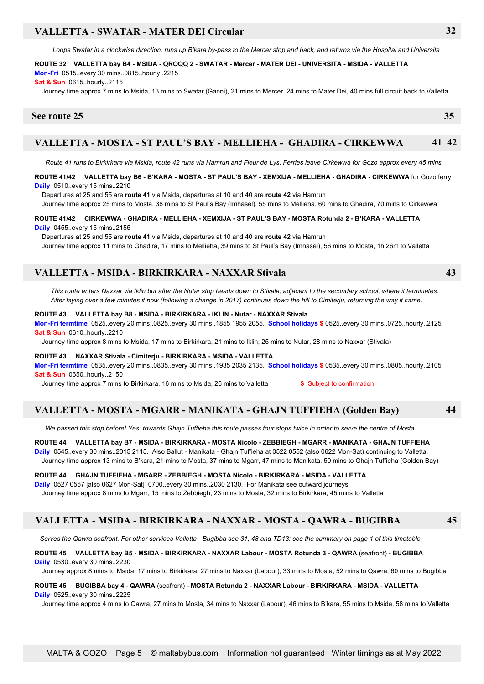### **VALLETTA - SWATAR - MATER DEI Circular 32**

*Loops Swatar in a clockwise direction, runs up B'kara by-pass to the Mercer stop and back, and returns via the Hospital and Universita*

### **ROUTE 32 VALLETTA bay B4 - MSIDA - QROQQ 2 - SWATAR - Mercer - MATER DEI - UNIVERSITA - MSIDA - VALLETTA Mon-Fri** 0515..every 30 mins..0815..hourly..2215

**Sat & Sun** 0615..hourly..2115

Journey time approx 7 mins to Msida, 13 mins to Swatar (Ganni), 21 mins to Mercer, 24 mins to Mater Dei, 40 mins full circuit back to Valletta

### **See route 25 35**

### **VALLETTA - MOSTA - ST PAUL'S BAY - MELLIEHA - GHADIRA - CIRKEWWA 41 42**

*Route 41 runs to Birkirkara via Msida, route 42 runs via Hamrun and Fleur de Lys. Ferries leave Cirkewwa for Gozo approx every 45 mins*

#### **ROUTE 41/42 VALLETTA bay B6 - B'KARA - MOSTA - ST PAUL'S BAY - XEMXIJA - MELLIEHA - GHADIRA - CIRKEWWA** for Gozo ferry **Daily** 0510..every 15 mins..2210

Departures at 25 and 55 are **route 41** via Msida, departures at 10 and 40 are **route 42** via Hamrun

Journey time approx 25 mins to Mosta, 38 mins to St Paul's Bay (Imhasel), 55 mins to Mellieha, 60 mins to Ghadira, 70 mins to Cirkewwa

#### **ROUTE 41/42 CIRKEWWA - GHADIRA - MELLIEHA - XEMXIJA - ST PAUL'S BAY - MOSTA Rotunda 2 - B'KARA - VALLETTA Daily** 0455..every 15 mins..2155

 Departures at 25 and 55 are **route 41** via Msida, departures at 10 and 40 are **route 42** via Hamrun Journey time approx 11 mins to Ghadira, 17 mins to Mellieha, 39 mins to St Paul's Bay (Imhasel), 56 mins to Mosta, 1h 26m to Valletta

### **VALLETTA - MSIDA - BIRKIRKARA - NAXXAR Stivala 43**

 *This route enters Naxxar via Iklin but after the Nutar stop heads down to Stivala, adjacent to the secondary school, where it terminates. After laying over a few minutes it now (following a change in 2017) continues down the hill to Cimiterju, returning the way it came.*

#### **ROUTE 43 VALLETTA bay B8 - MSIDA - BIRKIRKARA - IKLIN - Nutar - NAXXAR Stivala Mon-Fri termtime** 0525..every 20 mins..0825..every 30 mins..1855 1955 2055. **School holidays \$** 0525..every 30 mins..0725..hourly..2125

**Sat & Sun** 0610..hourly..2210

Journey time approx 8 mins to Msida, 17 mins to Birkirkara, 21 mins to Iklin, 25 mins to Nutar, 28 mins to Naxxar (Stivala)

#### **ROUTE 43 NAXXAR Stivala - Cimiterju - BIRKIRKARA - MSIDA - VALLETTA**

**Mon-Fri termtime** 0535..every 20 mins..0835..every 30 mins..1935 2035 2135. **School holidays \$** 0535..every 30 mins..0805..hourly..2105 **Sat & Sun** 0650..hourly..2150

Journey time approx 7 mins to Birkirkara, 16 mins to Msida, 26 mins to Valletta **\$** Subject to confirmation

### **VALLETTA - MOSTA - MGARR - MANIKATA - GHAJN TUFFIEHA (Golden Bay) 44**

*We passed this stop before! Yes, towards Ghajn Tuffieha this route passes four stops twice in order to serve the centre of Mosta*

#### **ROUTE 44 VALLETTA bay B7 - MSIDA - BIRKIRKARA - MOSTA Nicolo - ZEBBIEGH - MGARR - MANIKATA - GHAJN TUFFIEHA**

**Daily** 0545..every 30 mins..2015 2115. Also Ballut - Manikata - Ghajn Tuffieha at 0522 0552 (also 0622 Mon-Sat) continuing to Valletta. Journey time approx 13 mins to B'kara, 21 mins to Mosta, 37 mins to Mgarr, 47 mins to Manikata, 50 mins to Ghajn Tuffieha (Golden Bay)

#### **ROUTE 44 GHAJN TUFFIEHA - MGARR - ZEBBIEGH - MOSTA Nicolo - BIRKIRKARA - MSIDA - VALLETTA**

**Daily** 0527 0557 [also 0627 Mon-Sat] 0700..every 30 mins..2030 2130. For Manikata see outward journeys.

Journey time approx 8 mins to Mgarr, 15 mins to Zebbiegh, 23 mins to Mosta, 32 mins to Birkirkara, 45 mins to Valletta

### **VALLETTA - MSIDA - BIRKIRKARA - NAXXAR - MOSTA - QAWRA - BUGIBBA 45**

*Serves the Qawra seafront. For other services Valletta - Bugibba see 31, 48 and TD13: see the summary on page 1 of this timetable*

#### **ROUTE 45 VALLETTA bay B5 - MSIDA - BIRKIRKARA - NAXXAR Labour - MOSTA Rotunda 3 - QAWRA** (seafront) **- BUGIBBA Daily** 0530..every 30 mins..2230

Journey approx 8 mins to Msida, 17 mins to Birkirkara, 27 mins to Naxxar (Labour), 33 mins to Mosta, 52 mins to Qawra, 60 mins to Bugibba

#### **ROUTE 45 BUGIBBA bay 4 - QAWRA** (seafront) **- MOSTA Rotunda 2 - NAXXAR Labour - BIRKIRKARA - MSIDA - VALLETTA Daily** 0525 every 30 mins. 2225

Journey time approx 4 mins to Qawra, 27 mins to Mosta, 34 mins to Naxxar (Labour), 46 mins to B'kara, 55 mins to Msida, 58 mins to Valletta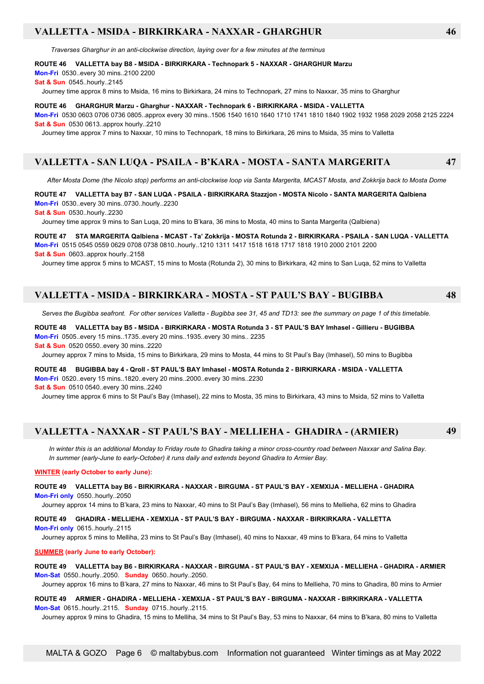### **VALLETTA - MSIDA - BIRKIRKARA - NAXXAR - GHARGHUR 46**

 *Traverses Gharghur in an anti-clockwise direction, laying over for a few minutes at the terminus*

#### **ROUTE 46 VALLETTA bay B8 - MSIDA - BIRKIRKARA - Technopark 5 - NAXXAR - GHARGHUR Marzu**

**Mon-Fri** 0530..every 30 mins..2100 2200

**Sat & Sun** 0545..hourly..2145

Journey time approx 8 mins to Msida, 16 mins to Birkirkara, 24 mins to Technopark, 27 mins to Naxxar, 35 mins to Gharghur

**ROUTE 46 GHARGHUR Marzu - Gharghur - NAXXAR - Technopark 6 - BIRKIRKARA - MSIDA - VALLETTA Mon-Fri** 0530 0603 0706 0736 0805..approx every 30 mins..1506 1540 1610 1640 1710 1741 1810 1840 1902 1932 1958 2029 2058 2125 2224 **Sat & Sun** 0530 0613..approx hourly..2210

Journey time approx 7 mins to Naxxar, 10 mins to Technopark, 18 mins to Birkirkara, 26 mins to Msida, 35 mins to Valletta

#### **VALLETTA - SAN LUQA - PSAILA - B'KARA - MOSTA - SANTA MARGERITA 47**

*After Mosta Dome (the Nicolo stop) performs an anti-clockwise loop via Santa Margerita, MCAST Mosta, and Zokkrija back to Mosta Dome*

**ROUTE 47 VALLETTA bay B7 - SAN LUQA - PSAILA - BIRKIRKARA Stazzjon - MOSTA Nicolo - SANTA MARGERITA Qalbiena Mon-Fri** 0530..every 30 mins..0730..hourly..2230

**Sat & Sun** 0530..hourly..2230

Journey time approx 9 mins to San Luqa, 20 mins to B'kara, 36 mins to Mosta, 40 mins to Santa Margerita (Qalbiena)

**ROUTE 47 STA MARGERITA Qalbiena - MCAST - Ta' Zokkrija - MOSTA Rotunda 2 - BIRKIRKARA - PSAILA - SAN LUQA - VALLETTA Mon-Fri** 0515 0545 0559 0629 0708 0738 0810..hourly..1210 1311 1417 1518 1618 1717 1818 1910 2000 2101 2200 **Sat & Sun** 0603..approx hourly..2158

Journey time approx 5 mins to MCAST, 15 mins to Mosta (Rotunda 2), 30 mins to Birkirkara, 42 mins to San Luqa, 52 mins to Valletta

### **VALLETTA - MSIDA - BIRKIRKARA - MOSTA - ST PAUL'S BAY - BUGIBBA 48**

*Serves the Bugibba seafront. For other services Valletta - Bugibba see 31, 45 and TD13: see the summary on page 1 of this timetable.*

**ROUTE 48 VALLETTA bay B5 - MSIDA - BIRKIRKARA - MOSTA Rotunda 3 - ST PAUL'S BAY Imhasel - Gillieru - BUGIBBA Mon-Fri** 0505..every 15 mins..1735..every 20 mins..1935..every 30 mins.. 2235 **Sat & Sun** 0520 0550..every 30 mins..2220

Journey approx 7 mins to Msida, 15 mins to Birkirkara, 29 mins to Mosta, 44 mins to St Paul's Bay (Imhasel), 50 mins to Bugibba

**ROUTE 48 BUGIBBA bay 4 - Qroll - ST PAUL'S BAY Imhasel - MOSTA Rotunda 2 - BIRKIRKARA - MSIDA - VALLETTA Mon-Fri** 0520..every 15 mins..1820..every 20 mins..2000..every 30 mins..2230

**Sat & Sun** 0510 0540..every 30 mins..2240

Journey time approx 6 mins to St Paul's Bay (Imhasel), 22 mins to Mosta, 35 mins to Birkirkara, 43 mins to Msida, 52 mins to Valletta

### **VALLETTA - NAXXAR - ST PAUL'S BAY - MELLIEHA - GHADIRA - (ARMIER) 49**

*In winter this is an additional Monday to Friday route to Ghadira taking a minor cross-country road between Naxxar and Salina Bay. In summer (early-June to early-October) it runs daily and extends beyond Ghadira to Armier Bay.*

#### **WINTER (early October to early June):**

#### **ROUTE 49 VALLETTA bay B6 - BIRKIRKARA - NAXXAR - BIRGUMA - ST PAUL'S BAY - XEMXIJA - MELLIEHA - GHADIRA Mon-Fri only** 0550..hourly..2050

Journey approx 14 mins to B'kara, 23 mins to Naxxar, 40 mins to St Paul's Bay (Imhasel), 56 mins to Mellieha, 62 mins to Ghadira

#### **ROUTE 49 GHADIRA - MELLIEHA - XEMXIJA - ST PAUL'S BAY - BIRGUMA - NAXXAR - BIRKIRKARA - VALLETTA Mon-Fri only** 0615..hourly..2115

Journey approx 5 mins to Melliha, 23 mins to St Paul's Bay (Imhasel), 40 mins to Naxxar, 49 mins to B'kara, 64 mins to Valletta

#### **SUMMER (early June to early October):**

#### **ROUTE 49 VALLETTA bay B6 - BIRKIRKARA - NAXXAR - BIRGUMA - ST PAUL'S BAY - XEMXIJA - MELLIEHA - GHADIRA - ARMIER Mon-Sat** 0550..hourly..2050. **Sunday** 0650..hourly..2050.

Journey approx 16 mins to B'kara, 27 mins to Naxxar, 46 mins to St Paul's Bay, 64 mins to Mellieha, 70 mins to Ghadira, 80 mins to Armier

**ROUTE 49 ARMIER - GHADIRA - MELLIEHA - XEMXIJA - ST PAUL'S BAY - BIRGUMA - NAXXAR - BIRKIRKARA - VALLETTA Mon-Sat** 0615..hourly..2115. **Sunday** 0715..hourly..2115.

Journey approx 9 mins to Ghadira, 15 mins to Melliha, 34 mins to St Paul's Bay, 53 mins to Naxxar, 64 mins to B'kara, 80 mins to Valletta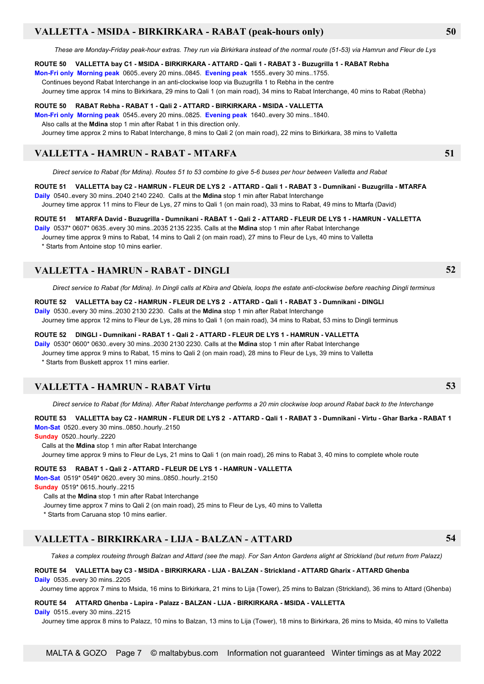### **VALLETTA - MSIDA - BIRKIRKARA - RABAT (peak-hours only) 50**

*These are Monday-Friday peak-hour extras. They run via Birkirkara instead of the normal route (51-53) via Hamrun and Fleur de Lys*

#### **ROUTE 50 VALLETTA bay C1 - MSIDA - BIRKIRKARA - ATTARD - Qali 1 - RABAT 3 - Buzugrilla 1 - RABAT Rebha**

**Mon-Fri only Morning peak** 0605..every 20 mins..0845. **Evening peak** 1555..every 30 mins..1755.

Continues beyond Rabat Interchange in an anti-clockwise loop via Buzugrilla 1 to Rebha in the centre

Journey time approx 14 mins to Birkirkara, 29 mins to Qali 1 (on main road), 34 mins to Rabat Interchange, 40 mins to Rabat (Rebha)

#### **ROUTE 50 RABAT Rebha - RABAT 1 - Qali 2 - ATTARD - BIRKIRKARA - MSIDA - VALLETTA**

**Mon-Fri only Morning peak** 0545..every 20 mins..0825. **Evening peak** 1640..every 30 mins..1840. Also calls at the **Mdina** stop 1 min after Rabat 1 in this direction only.

Journey time approx 2 mins to Rabat Interchange, 8 mins to Qali 2 (on main road), 22 mins to Birkirkara, 38 mins to Valletta

### **VALLETTA - HAMRUN - RABAT - MTARFA 51**

*Direct service to Rabat (for Mdina). Routes 51 to 53 combine to give 5-6 buses per hour between Valletta and Rabat*

**ROUTE 51 VALLETTA bay C2 - HAMRUN - FLEUR DE LYS 2 - ATTARD - Qali 1 - RABAT 3 - Dumnikani - Buzugrilla - MTARFA Daily** 0540..every 30 mins..2040 2140 2240. Calls at the **Mdina** stop 1 min after Rabat Interchange

Journey time approx 11 mins to Fleur de Lys, 27 mins to Qali 1 (on main road), 33 mins to Rabat, 49 mins to Mtarfa (David)

#### **ROUTE 51 MTARFA David - Buzugrilla - Dumnikani - RABAT 1 - Qali 2 - ATTARD - FLEUR DE LYS 1 - HAMRUN - VALLETTA**

**Daily** 0537\* 0607\* 0635..every 30 mins..2035 2135 2235. Calls at the **Mdina** stop 1 min after Rabat Interchange

Journey time approx 9 mins to Rabat, 14 mins to Qali 2 (on main road), 27 mins to Fleur de Lys, 40 mins to Valletta

\* Starts from Antoine stop 10 mins earlier.

### **VALLETTA - HAMRUN - RABAT - DINGLI 52**

*Direct service to Rabat (for Mdina). In Dingli calls at Kbira and Qbiela, loops the estate anti-clockwise before reaching Dingli terminus*

**ROUTE 52 VALLETTA bay C2 - HAMRUN - FLEUR DE LYS 2 - ATTARD - Qali 1 - RABAT 3 - Dumnikani - DINGLI Daily** 0530..every 30 mins..2030 2130 2230. Calls at the **Mdina** stop 1 min after Rabat Interchange

Journey time approx 12 mins to Fleur de Lys, 28 mins to Qali 1 (on main road), 34 mins to Rabat, 53 mins to Dingli terminus

#### **ROUTE 52 DINGLI - Dumnikani - RABAT 1 - Qali 2 - ATTARD - FLEUR DE LYS 1 - HAMRUN - VALLETTA**

**Daily** 0530\* 0600\* 0630..every 30 mins..2030 2130 2230. Calls at the **Mdina** stop 1 min after Rabat Interchange

Journey time approx 9 mins to Rabat, 15 mins to Qali 2 (on main road), 28 mins to Fleur de Lys, 39 mins to Valletta

\* Starts from Buskett approx 11 mins earlier.

### **VALLETTA - HAMRUN - RABAT Virtu 53**

*Direct service to Rabat (for Mdina). After Rabat Interchange performs a 20 min clockwise loop around Rabat back to the Interchange*

**ROUTE 53 VALLETTA bay C2 - HAMRUN - FLEUR DE LYS 2 - ATTARD - Qali 1 - RABAT 3 - Dumnikani - Virtu - Ghar Barka - RABAT 1 Mon-Sat** 0520..every 30 mins..0850..hourly..2150

**Sunday** 0520..hourly..2220

Calls at the **Mdina** stop 1 min after Rabat Interchange

Journey time approx 9 mins to Fleur de Lys, 21 mins to Qali 1 (on main road), 26 mins to Rabat 3, 40 mins to complete whole route

**ROUTE 53 RABAT 1 - Qali 2 - ATTARD - FLEUR DE LYS 1 - HAMRUN - VALLETTA**

**Mon-Sat** 0519\* 0549\* 0620..every 30 mins..0850..hourly..2150

**Sunday** 0519\* 0615..hourly..2215

Calls at the **Mdina** stop 1 min after Rabat Interchange

Journey time approx 7 mins to Qali 2 (on main road), 25 mins to Fleur de Lys, 40 mins to Valletta

\* Starts from Caruana stop 10 mins earlier.

### **VALLETTA - BIRKIRKARA - LIJA - BALZAN - ATTARD 54**

 *Takes a complex routeing through Balzan and Attard (see the map). For San Anton Gardens alight at Strickland (but return from Palazz)*

#### **ROUTE 54 VALLETTA bay C3 - MSIDA - BIRKIRKARA - LIJA - BALZAN - Strickland - ATTARD Gharix - ATTARD Ghenba Daily** 0535 every 30 mins. 2205

Journey time approx 7 mins to Msida, 16 mins to Birkirkara, 21 mins to Lija (Tower), 25 mins to Balzan (Strickland), 36 mins to Attard (Ghenba)

#### **ROUTE 54 ATTARD Ghenba - Lapira - Palazz - BALZAN - LIJA - BIRKIRKARA - MSIDA - VALLETTA**

**Daily** 0515..every 30 mins..2215

Journey time approx 8 mins to Palazz, 10 mins to Balzan, 13 mins to Lija (Tower), 18 mins to Birkirkara, 26 mins to Msida, 40 mins to Valletta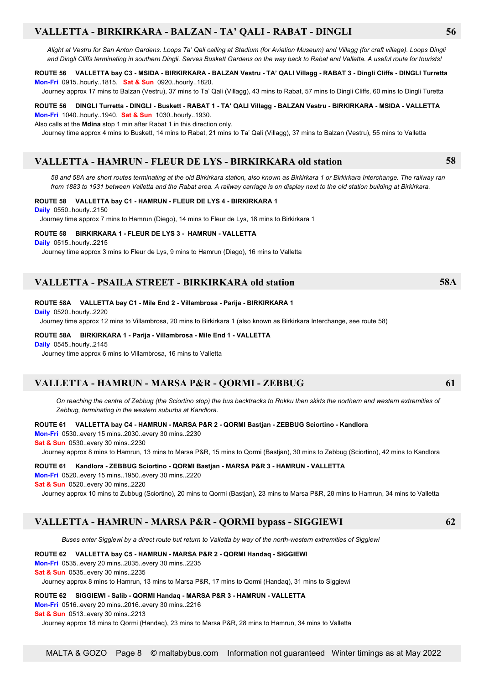### **VALLETTA - BIRKIRKARA - BALZAN - TA' QALI - RABAT - DINGLI 56**

*Alight at Vestru for San Anton Gardens. Loops Ta' Qali calling at Stadium (for Aviation Museum) and Villagg (for craft village). Loops Dingli and Dingli Cliffs terminating in southern Dingli. Serves Buskett Gardens on the way back to Rabat and Valletta. A useful route for tourists!*

#### **ROUTE 56 VALLETTA bay C3 - MSIDA - BIRKIRKARA - BALZAN Vestru - TA' QALI Villagg - RABAT 3 - Dingli Cliffs - DINGLI Turretta Mon-Fri** 0915..hourly..1815. **Sat & Sun** 0920..hourly..1820.

Journey approx 17 mins to Balzan (Vestru), 37 mins to Ta' Qali (Villagg), 43 mins to Rabat, 57 mins to Dingli Cliffs, 60 mins to Dingli Turetta

#### **ROUTE 56 DINGLI Turretta - DINGLI - Buskett - RABAT 1 - TA' QALI Villagg - BALZAN Vestru - BIRKIRKARA - MSIDA - VALLETTA Mon-Fri** 1040..hourly..1940. **Sat & Sun** 1030..hourly..1930.

Also calls at the **Mdina** stop 1 min after Rabat 1 in this direction only.

Journey time approx 4 mins to Buskett, 14 mins to Rabat, 21 mins to Ta' Qali (Villagg), 37 mins to Balzan (Vestru), 55 mins to Valletta

### **VALLETTA - HAMRUN - FLEUR DE LYS - BIRKIRKARA old station 58**

 *58 and 58A are short routes terminating at the old Birkirkara station, also known as Birkirkara 1 or Birkirkara Interchange. The railway ran from 1883 to 1931 between Valletta and the Rabat area. A railway carriage is on display next to the old station building at Birkirkara.*

#### **ROUTE 58 VALLETTA bay C1 - HAMRUN - FLEUR DE LYS 4 - BIRKIRKARA 1**

**Daily** 0550..hourly..2150

Journey time approx 7 mins to Hamrun (Diego), 14 mins to Fleur de Lys, 18 mins to Birkirkara 1

#### **ROUTE 58 BIRKIRKARA 1 - FLEUR DE LYS 3 - HAMRUN - VALLETTA**

**Daily** 0515..hourly..2215

Journey time approx 3 mins to Fleur de Lys, 9 mins to Hamrun (Diego), 16 mins to Valletta

### **VALLETTA - PSAILA STREET - BIRKIRKARA old station 58A**

#### **ROUTE 58A VALLETTA bay C1 - Mile End 2 - Villambrosa - Parija - BIRKIRKARA 1**

**Daily** 0520..hourly..2220

Journey time approx 12 mins to Villambrosa, 20 mins to Birkirkara 1 (also known as Birkirkara Interchange, see route 58)

#### **ROUTE 58A BIRKIRKARA 1 - Parija - Villambrosa - Mile End 1 - VALLETTA**

**Daily** 0545..hourly..2145

Journey time approx 6 mins to Villambrosa, 16 mins to Valletta

### **VALLETTA - HAMRUN - MARSA P&R - QORMI - ZEBBUG 61**

*On reaching the centre of Zebbug (the Sciortino stop) the bus backtracks to Rokku then skirts the northern and western extremities of Zebbug, terminating in the western suburbs at Kandlora.*

#### **ROUTE 61 VALLETTA bay C4 - HAMRUN - MARSA P&R 2 - QORMI Bastjan - ZEBBUG Sciortino - Kandlora**

**Mon-Fri** 0530..every 15 mins..2030..every 30 mins..2230

**Sat & Sun** 0530..every 30 mins..2230

Journey approx 8 mins to Hamrun, 13 mins to Marsa P&R, 15 mins to Qormi (Bastjan), 30 mins to Zebbug (Sciortino), 42 mins to Kandlora

## **ROUTE 61 Kandlora - ZEBBUG Sciortino - QORMI Bastjan - MARSA P&R 3 - HAMRUN - VALLETTA**

**Mon-Fri** 0520..every 15 mins..1950..every 30 mins..2220

**Sat & Sun** 0520..every 30 mins..2220

Journey approx 10 mins to Zubbug (Sciortino), 20 mins to Qormi (Bastjan), 23 mins to Marsa P&R, 28 mins to Hamrun, 34 mins to Valletta

### **VALLETTA - HAMRUN - MARSA P&R - QORMI bypass - SIGGIEWI 62**

 *Buses enter Siggiewi by a direct route but return to Valletta by way of the north-western extremities of Siggiewi*

#### **ROUTE 62 VALLETTA bay C5 - HAMRUN - MARSA P&R 2 - QORMI Handaq - SIGGIEWI**

**Mon-Fri** 0535..every 20 mins..2035..every 30 mins..2235

**Sat & Sun** 0535..every 30 mins..2235

Journey approx 8 mins to Hamrun, 13 mins to Marsa P&R, 17 mins to Qormi (Handaq), 31 mins to Siggiewi

#### **ROUTE 62 SIGGIEWI - Salib - QORMI Handaq - MARSA P&R 3 - HAMRUN - VALLETTA**

**Mon-Fri** 0516..every 20 mins..2016..every 30 mins..2216

**Sat & Sun** 0513..every 30 mins..2213

Journey approx 18 mins to Qormi (Handaq), 23 mins to Marsa P&R, 28 mins to Hamrun, 34 mins to Valletta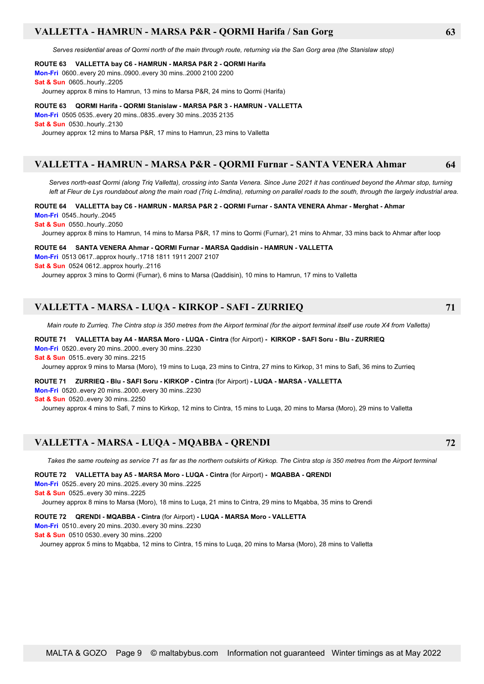### **VALLETTA - HAMRUN - MARSA P&R - QORMI Harifa / San Gorg 63**

 *Serves residential areas of Qormi north of the main through route, returning via the San Gorg area (the Stanislaw stop)*

### **ROUTE 63 VALLETTA bay C6 - HAMRUN - MARSA P&R 2 - QORMI Harifa**

**Mon-Fri** 0600..every 20 mins..0900..every 30 mins..2000 2100 2200 **Sat & Sun** 0605..hourly..2205

Journey approx 8 mins to Hamrun, 13 mins to Marsa P&R, 24 mins to Qormi (Harifa)

#### **ROUTE 63 QORMI Harifa - QORMI Stanislaw - MARSA P&R 3 - HAMRUN - VALLETTA**

**Mon-Fri** 0505 0535..every 20 mins..0835..every 30 mins..2035 2135 **Sat & Sun** 0530..hourly..2130

Journey approx 12 mins to Marsa P&R, 17 mins to Hamrun, 23 mins to Valletta

### **VALLETTA - HAMRUN - MARSA P&R - QORMI Furnar - SANTA VENERA Ahmar 64**

 *Serves north-east Qormi (along Triq Valletta), crossing into Santa Venera. Since June 2021 it has continued beyond the Ahmar stop, turning left at Fleur de Lys roundabout along the main road (Triq L-Imdina), returning on parallel roads to the south, through the largely industrial area.*

**ROUTE 64 VALLETTA bay C6 - HAMRUN - MARSA P&R 2 - QORMI Furnar - SANTA VENERA Ahmar - Merghat - Ahmar Mon-Fri** 0545..hourly..2045

**Sat & Sun** 0550..hourly..2050

Journey approx 8 mins to Hamrun, 14 mins to Marsa P&R, 17 mins to Qormi (Furnar), 21 mins to Ahmar, 33 mins back to Ahmar after loop

**ROUTE 64 SANTA VENERA Ahmar - QORMI Furnar - MARSA Qaddisin - HAMRUN - VALLETTA Mon-Fri** 0513 0617..approx hourly..1718 1811 1911 2007 2107 **Sat & Sun** 0524 0612..approx hourly..2116

Journey approx 3 mins to Qormi (Furnar), 6 mins to Marsa (Qaddisin), 10 mins to Hamrun, 17 mins to Valletta

### **VALLETTA - MARSA - LUQA - KIRKOP - SAFI - ZURRIEQ 71**

 *Main route to Zurrieq. The Cintra stop is 350 metres from the Airport terminal (for the airport terminal itself use route X4 from Valletta)*

**ROUTE 71 VALLETTA bay A4 - MARSA Moro - LUQA - Cintra** (for Airport) **- KIRKOP - SAFI Soru - Blu - ZURRIEQ Mon-Fri** 0520..every 20 mins..2000..every 30 mins..2230

**Sat & Sun** 0515..every 30 mins..2215

Journey approx 9 mins to Marsa (Moro), 19 mins to Luqa, 23 mins to Cintra, 27 mins to Kirkop, 31 mins to Safi, 36 mins to Zurrieq

**ROUTE 71 ZURRIEQ - Blu - SAFI Soru - KIRKOP - Cintra** (for Airport) **- LUQA - MARSA - VALLETTA Mon-Fri** 0520..every 20 mins..2000..every 30 mins..2230 **Sat & Sun** 0520..every 30 mins..2250 Journey approx 4 mins to Safi, 7 mins to Kirkop, 12 mins to Cintra, 15 mins to Luqa, 20 mins to Marsa (Moro), 29 mins to Valletta

## **VALLETTA - MARSA - LUQA - MQABBA - QRENDI 72**

 *Takes the same routeing as service 71 as far as the northern outskirts of Kirkop. The Cintra stop is 350 metres from the Airport terminal*

**ROUTE 72 VALLETTA bay A5 - MARSA Moro - LUQA - Cintra** (for Airport) **- MQABBA - QRENDI Mon-Fri** 0525..every 20 mins..2025..every 30 mins..2225 **Sat & Sun** 0525..every 30 mins..2225

Journey approx 8 mins to Marsa (Moro), 18 mins to Luqa, 21 mins to Cintra, 29 mins to Mqabba, 35 mins to Qrendi

**ROUTE 72 QRENDI - MQABBA - Cintra** (for Airport) **- LUQA - MARSA Moro - VALLETTA**

**Mon-Fri** 0510..every 20 mins..2030..every 30 mins..2230

**Sat & Sun** 0510 0530..every 30 mins..2200

Journey approx 5 mins to Mqabba, 12 mins to Cintra, 15 mins to Luqa, 20 mins to Marsa (Moro), 28 mins to Valletta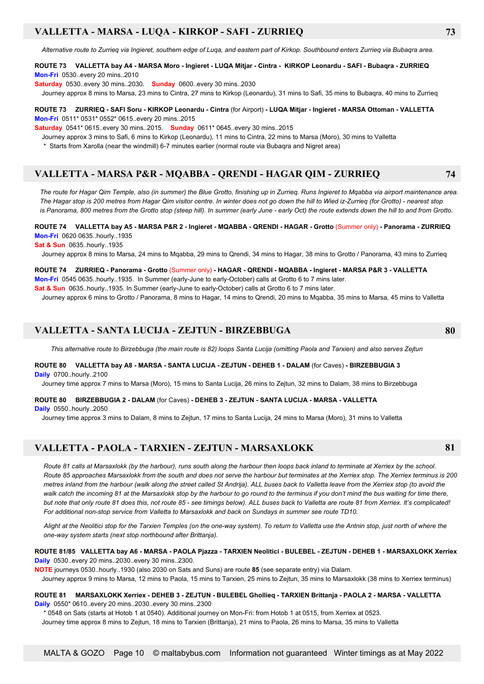### **VALLETTA - MARSA - LUQA - KIRKOP - SAFI - ZURRIEQ 73**

*Alternative route to Zurrieq via Ingieret, southern edge of Luqa, and eastern part of Kirkop. Southbound enters Zurrieq via Bubaqra area.*

#### **ROUTE 73 VALLETTA bay A4 - MARSA Moro - Ingieret - LUQA Mitjar - Cintra - KIRKOP Leonardu - SAFI - Bubaqra - ZURRIEQ Mon-Fri** 0530..every 20 mins..2010

**Saturday** 0530..every 30 mins..2030. **Sunday** 0600..every 30 mins..2030

Journey approx 8 mins to Marsa, 23 mins to Cintra, 27 mins to Kirkop (Leonardu), 31 mins to Safi, 35 mins to Bubaqra, 40 mins to Zurrieq

#### **ROUTE 73 ZURRIEQ - SAFI Soru - KIRKOP Leonardu - Cintra** (for Airport) **- LUQA Mitjar - Ingieret - MARSA Ottoman - VALLETTA Mon-Fri** 0511\* 0531\* 0552\* 0615..every 20 mins..2015

**Saturday** 0541\* 0615..every 30 mins..2015. **Sunday** 0611\* 0645..every 30 mins..2015

Journey approx 3 mins to Safi, 6 mins to Kirkop (Leonardu), 11 mins to Cintra, 22 mins to Marsa (Moro), 30 mins to Valletta

\* Starts from Xarolla (near the windmill) 6-7 minutes earlier (normal route via Bubaqra and Nigret area)

### **VALLETTA - MARSA P&R - MQABBA - QRENDI - HAGAR QIM - ZURRIEQ 74**

*The route for Hagar Qim Temple, also (in summer) the Blue Grotto, finishing up in Zurrieq. Runs Ingieret to Mqabba via airport maintenance area. The Hagar stop is 200 metres from Hagar Qim visitor centre. In winter does not go down the hill to Wied iz-Zurrieq (for Grotto) - nearest stop is Panorama, 800 metres from the Grotto stop (steep hill). In summer (early June - early Oct) the route extends down the hill to and from Grotto.*

#### **ROUTE 74 VALLETTA bay A5 - MARSA P&R 2 - Ingieret - MQABBA - QRENDI - HAGAR - Grotto** (Summer only) **- Panorama - ZURRIEQ Mon-Fri** 0620 0635..hourly..1935

**Sat & Sun** 0635..hourly..1935

Journey approx 8 mins to Marsa, 24 mins to Mqabba, 29 mins to Qrendi, 34 mins to Hagar, 38 mins to Grotto / Panorama, 43 mins to Zurrieq

**ROUTE 74 ZURRIEQ - Panorama - Grotto** (Summer only) **- HAGAR - QRENDI - MQABBA - Ingieret - MARSA P&R 3 - VALLETTA Mon-Fri** 0545 0635..hourly..1935. In Summer (early-June to early-October) calls at Grotto 6 to 7 mins later. **Sat & Sun** 0635..hourly..1935. In Summer (early-June to early-October) calls at Grotto 6 to 7 mins later.

Journey approx 6 mins to Grotto / Panorama, 8 mins to Hagar, 14 mins to Qrendi, 20 mins to Mqabba, 35 mins to Marsa, 45 mins to Valletta

### **VALLETTA - SANTA LUCIJA - ZEJTUN - BIRZEBBUGA 80**

*This alternative route to Birzebbuga (the main route is 82) loops Santa Lucija (omitting Paola and Tarxien) and also serves Zejtun*

#### **ROUTE 80 VALLETTA bay A8 - MARSA - SANTA LUCIJA - ZEJTUN - DEHEB 1 - DALAM** (for Caves) **- BIRZEBBUGIA 3 Daily** 0700..hourly..2100

Journey time approx 7 mins to Marsa (Moro), 15 mins to Santa Lucija, 26 mins to Zejtun, 32 mins to Dalam, 38 mins to Birzebbuga

#### **ROUTE 80 BIRZEBBUGIA 2 - DALAM** (for Caves) **- DEHEB 3 - ZEJTUN - SANTA LUCIJA - MARSA - VALLETTA**

**Daily** 0550 hourly 2050

Journey time approx 3 mins to Dalam, 8 mins to Zejtun, 17 mins to Santa Lucija, 24 mins to Marsa (Moro), 31 mins to Valletta

### **VALLETTA - PAOLA - TARXIEN - ZEJTUN - MARSAXLOKK 81**

*Route 81 calls at Marsaxlokk (by the harbour), runs south along the harbour then loops back inland to terminate at Xerriex by the school. Route 85 approaches Marsaxlokk from the south and does not serve the harbour but terminates at the Xerriex stop. The Xerriex terminus is 200 metres inland from the harbour (walk along the street called St Andrija). ALL buses back to Valletta leave from the Xerriex stop (to avoid the walk catch the incoming 81 at the Marsaxlokk stop by the harbour to go round to the terminus if you don't mind the bus waiting for time there, but note that only route 81 does this, not route 85 - see timings below). ALL buses back to Valletta are route 81 from Xerriex. It's complicated! For additional non-stop service from Valletta to Marsaxlokk and back on Sundays in summer see route TD10.*

 *Alight at the Neolitici stop for the Tarxien Temples (on the one-way system). To return to Valletta use the Antnin stop, just north of where the one-way system starts (next stop northbound after Brittanja).*

#### **ROUTE 81/85 VALLETTA bay A6 - MARSA - PAOLA Pjazza - TARXIEN Neolitici - BULEBEL - ZEJTUN - DEHEB 1 - MARSAXLOKK Xerriex Daily** 0530..every 20 mins..2030..every 30 mins..2300.

**NOTE** journeys 0530..hourly..1930 (also 2030 on Sats and Suns) are route **85** (see separate entry) via Dalam.

Journey approx 9 mins to Marsa, 12 mins to Paola, 15 mins to Tarxien, 25 mins to Zejtun, 35 mins to Marsaxlokk (38 mins to Xerriex terminus)

**ROUTE 81 MARSAXLOKK Xerriex - DEHEB 3 - ZEJTUN - BULEBEL Ghollieq - TARXIEN Brittanja - PAOLA 2 - MARSA - VALLETTA Daily** 0550\* 0610..every 20 mins..2030..every 30 mins..2300

\* 0548 on Sats (starts at Hotob 1 at 0540). Additional journey on Mon-Fri: from Hotob 1 at 0515, from Xerriex at 0523.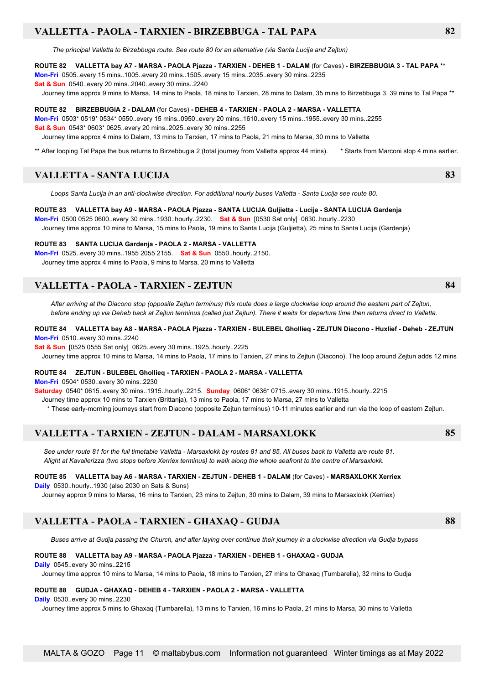### **VALLETTA - PAOLA - TARXIEN - BIRZEBBUGA - TAL PAPA 82**

*The principal Valletta to Birzebbuga route. See route 80 for an alternative (via Santa Lucija and Zejtun)*

#### **ROUTE 82 VALLETTA bay A7 - MARSA - PAOLA Pjazza - TARXIEN - DEHEB 1 - DALAM** (for Caves) **- BIRZEBBUGIA 3 - TAL PAPA \*\***

**Mon-Fri** 0505..every 15 mins..1005..every 20 mins..1505..every 15 mins..2035..every 30 mins..2235 **Sat & Sun** 0540..every 20 mins..2040..every 30 mins..2240

Journey time approx 9 mins to Marsa, 14 mins to Paola, 18 mins to Tarxien, 28 mins to Dalam, 35 mins to Birzebbuga 3, 39 mins to Tal Papa \*\*

#### **ROUTE 82 BIRZEBBUGIA 2 - DALAM** (for Caves) **- DEHEB 4 - TARXIEN - PAOLA 2 - MARSA - VALLETTA**

**Mon-Fri** 0503\* 0519\* 0534\* 0550..every 15 mins..0950..every 20 mins..1610..every 15 mins..1955..every 30 mins..2255 **Sat & Sun** 0543\* 0603\* 0625..every 20 mins..2025..every 30 mins..2255

Journey time approx 4 mins to Dalam, 13 mins to Tarxien, 17 mins to Paola, 21 mins to Marsa, 30 mins to Valletta

\*\* After looping Tal Papa the bus returns to Birzebbugia 2 (total journey from Valletta approx 44 mins). \* Starts from Marconi stop 4 mins earlier.

### **VALLETTA - SANTA LUCIJA 83**

 *Loops Santa Lucija in an anti-clockwise direction. For additional hourly buses Valletta - Santa Lucija see route 80.*

### **ROUTE 83 VALLETTA bay A9 - MARSA - PAOLA Pjazza - SANTA LUCIJA Guljietta - Lucija - SANTA LUCIJA Gardenja**

**Mon-Fri** 0500 0525 0600..every 30 mins..1930..hourly..2230. **Sat & Sun** [0530 Sat only] 0630..hourly..2230 Journey time approx 10 mins to Marsa, 15 mins to Paola, 19 mins to Santa Lucija (Guljietta), 25 mins to Santa Lucija (Gardenja)

#### **ROUTE 83 SANTA LUCIJA Gardenja - PAOLA 2 - MARSA - VALLETTA**

**Mon-Fri** 0525..every 30 mins..1955 2055 2155. **Sat & Sun** 0550..hourly..2150. Journey time approx 4 mins to Paola, 9 mins to Marsa, 20 mins to Valletta

### **VALLETTA - PAOLA - TARXIEN - ZEJTUN 84**

 *After arriving at the Diacono stop (opposite Zejtun terminus) this route does a large clockwise loop around the eastern part of Zejtun, before ending up via Deheb back at Zejtun terminus (called just Zejtun). There it waits for departure time then returns direct to Valletta.*

#### **ROUTE 84 VALLETTA bay A8 - MARSA - PAOLA Pjazza - TARXIEN - BULEBEL Ghollieq - ZEJTUN Diacono - Huxlief - Deheb - ZEJTUN Mon-Fri** 0510..every 30 mins..2240

**Sat & Sun** [0525 0555 Sat only] 0625..every 30 mins..1925..hourly..2225

Journey time approx 10 mins to Marsa, 14 mins to Paola, 17 mins to Tarxien, 27 mins to Zejtun (Diacono). The loop around Zejtun adds 12 mins

#### **ROUTE 84 ZEJTUN - BULEBEL Ghollieq - TARXIEN - PAOLA 2 - MARSA - VALLETTA**

**Mon-Fri** 0504\* 0530..every 30 mins..2230

**Saturday** 0540\* 0615..every 30 mins..1915..hourly..2215. **Sunday** 0606\* 0636\* 0715..every 30 mins..1915..hourly..2215

Journey time approx 10 mins to Tarxien (Brittanja), 13 mins to Paola, 17 mins to Marsa, 27 mins to Valletta

\* These early-morning journeys start from Diacono (opposite Zejtun terminus) 10-11 minutes earlier and run via the loop of eastern Zejtun.

### **VALLETTA - TARXIEN - ZEJTUN - DALAM - MARSAXLOKK 85**

*See under route 81 for the full timetable Valletta - Marsaxlokk by routes 81 and 85. All buses back to Valletta are route 81. Alight at Kavallerizza (two stops before Xerriex terminus) to walk along the whole seafront to the centre of Marsaxlokk.*

#### **ROUTE 85 VALLETTA bay A6 - MARSA - TARXIEN - ZEJTUN - DEHEB 1 - DALAM** (for Caves) **- MARSAXLOKK Xerriex**

**Daily** 0530..hourly..1930 (also 2030 on Sats & Suns)

Journey approx 9 mins to Marsa, 16 mins to Tarxien, 23 mins to Zejtun, 30 mins to Dalam, 39 mins to Marsaxlokk (Xerriex)

### **VALLETTA - PAOLA - TARXIEN - GHAXAQ - GUDJA 88**

 *Buses arrive at Gudja passing the Church, and after laying over continue their journey in a clockwise direction via Gudja bypass*

#### **ROUTE 88 VALLETTA bay A9 - MARSA - PAOLA Pjazza - TARXIEN - DEHEB 1 - GHAXAQ - GUDJA**

**Daily** 0545..every 30 mins..2215

Journey time approx 10 mins to Marsa, 14 mins to Paola, 18 mins to Tarxien, 27 mins to Ghaxaq (Tumbarella), 32 mins to Gudja

#### **ROUTE 88 GUDJA - GHAXAQ - DEHEB 4 - TARXIEN - PAOLA 2 - MARSA - VALLETTA**

**Daily** 0530..every 30 mins..2230

Journey time approx 5 mins to Ghaxaq (Tumbarella), 13 mins to Tarxien, 16 mins to Paola, 21 mins to Marsa, 30 mins to Valletta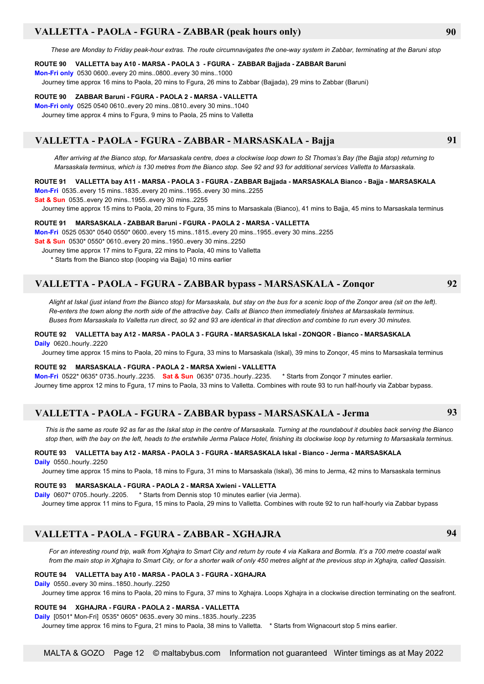### **VALLETTA - PAOLA - FGURA - ZABBAR (peak hours only) 90**

*These are Monday to Friday peak-hour extras. The route circumnavigates the one-way system in Zabbar, terminating at the Baruni stop*

#### **ROUTE 90 VALLETTA bay A10 - MARSA - PAOLA 3 - FGURA - ZABBAR Bajjada - ZABBAR Baruni**

**Mon-Fri only** 0530 0600..every 20 mins..0800..every 30 mins..1000

Journey time approx 16 mins to Paola, 20 mins to Fgura, 26 mins to Zabbar (Bajjada), 29 mins to Zabbar (Baruni)

#### **ROUTE 90 ZABBAR Baruni - FGURA - PAOLA 2 - MARSA - VALLETTA**

**Mon-Fri only** 0525 0540 0610..every 20 mins..0810..every 30 mins..1040 Journey time approx 4 mins to Fgura, 9 mins to Paola, 25 mins to Valletta

### **VALLETTA - PAOLA - FGURA - ZABBAR - MARSASKALA - Bajja 91**

 *After arriving at the Bianco stop, for Marsaskala centre, does a clockwise loop down to St Thomas's Bay (the Bajja stop) returning to Marsaskala terminus, which is 130 metres from the Bianco stop. See 92 and 93 for additional services Valletta to Marsaskala.*

#### **ROUTE 91 VALLETTA bay A11 - MARSA - PAOLA 3 - FGURA - ZABBAR Bajjada - MARSASKALA Bianco - Bajja - MARSASKALA**

**Mon-Fri** 0535..every 15 mins..1835..every 20 mins..1955..every 30 mins..2255

**Sat & Sun** 0535..every 20 mins..1955..every 30 mins..2255

Journey time approx 15 mins to Paola, 20 mins to Fgura, 35 mins to Marsaskala (Bianco), 41 mins to Bajja, 45 mins to Marsaskala terminus

#### **ROUTE 91 MARSASKALA - ZABBAR Baruni - FGURA - PAOLA 2 - MARSA - VALLETTA**

**Mon-Fri** 0525 0530\* 0540 0550\* 0600..every 15 mins..1815..every 20 mins..1955..every 30 mins..2255 **Sat & Sun** 0530\* 0550\* 0610..every 20 mins..1950..every 30 mins..2250

Journey time approx 17 mins to Fgura, 22 mins to Paola, 40 mins to Valletta

\* Starts from the Bianco stop (looping via Bajja) 10 mins earlier

### **VALLETTA - PAOLA - FGURA - ZABBAR bypass - MARSASKALA - Zonqor 92**

*Alight at Iskal (just inland from the Bianco stop) for Marsaskala, but stay on the bus for a scenic loop of the Zonqor area (sit on the left). Re-enters the town along the north side of the attractive bay. Calls at Bianco then immediately finishes at Marsaskala terminus. Buses from Marsaskala to Valletta run direct, so 92 and 93 are identical in that direction and combine to run every 30 minutes.*

#### **ROUTE 92 VALLETTA bay A12 - MARSA - PAOLA 3 - FGURA - MARSASKALA Iskal - ZONQOR - Bianco - MARSASKALA Daily** 0620..hourly..2220

Journey time approx 15 mins to Paola, 20 mins to Fgura, 33 mins to Marsaskala (Iskal), 39 mins to Zonqor, 45 mins to Marsaskala terminus

#### **ROUTE 92 MARSASKALA - FGURA - PAOLA 2 - MARSA Xwieni - VALLETTA**

**Mon-Fri** 0522\* 0635\* 0735..hourly..2235. **Sat & Sun** 0635\* 0735..hourly..2235. \* Starts from Zonqor 7 minutes earlier. Journey time approx 12 mins to Fgura, 17 mins to Paola, 33 mins to Valletta. Combines with route 93 to run half-hourly via Zabbar bypass.

### **VALLETTA - PAOLA - FGURA - ZABBAR bypass - MARSASKALA - Jerma 93**

*This is the same as route 92 as far as the Iskal stop in the centre of Marsaskala. Turning at the roundabout it doubles back serving the Bianco stop then, with the bay on the left, heads to the erstwhile Jerma Palace Hotel, finishing its clockwise loop by returning to Marsaskala terminus.*

### **ROUTE 93 VALLETTA bay A12 - MARSA - PAOLA 3 - FGURA - MARSASKALA Iskal - Bianco - Jerma - MARSASKALA**

**Daily** 0550..hourly..2250

Journey time approx 15 mins to Paola, 18 mins to Fgura, 31 mins to Marsaskala (Iskal), 36 mins to Jerma, 42 mins to Marsaskala terminus

### **ROUTE 93 MARSASKALA - FGURA - PAOLA 2 - MARSA Xwieni - VALLETTA**

**Daily** 0607\* 0705..hourly..2205. \* Starts from Dennis stop 10 minutes earlier (via Jerma).

Journey time approx 11 mins to Fgura, 15 mins to Paola, 29 mins to Valletta. Combines with route 92 to run half-hourly via Zabbar bypass

### **VALLETTA - PAOLA - FGURA - ZABBAR - XGHAJRA 94**

 *For an interesting round trip, walk from Xghajra to Smart City and return by route 4 via Kalkara and Bormla. It's a 700 metre coastal walk from the main stop in Xghajra to Smart City, or for a shorter walk of only 450 metres alight at the previous stop in Xghajra, called Qassisin.*

#### **ROUTE 94 VALLETTA bay A10 - MARSA - PAOLA 3 - FGURA - XGHAJRA**

**Daily** 0550..every 30 mins..1850..hourly..2250

Journey time approx 16 mins to Paola, 20 mins to Fgura, 37 mins to Xghajra. Loops Xghajra in a clockwise direction terminating on the seafront.

#### **ROUTE 94 XGHAJRA - FGURA - PAOLA 2 - MARSA - VALLETTA**

**Daily** [0501\* Mon-Fri] 0535\* 0605\* 0635..every 30 mins..1835..hourly..2235

Journey time approx 16 mins to Fgura, 21 mins to Paola, 38 mins to Valletta. \* Starts from Wignacourt stop 5 mins earlier.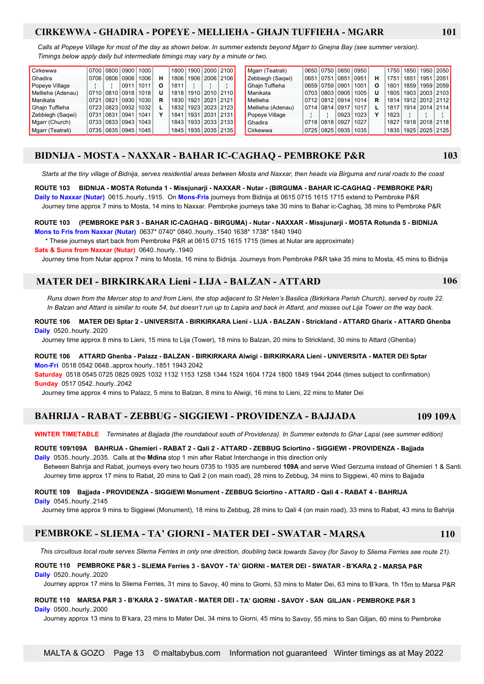### **CIRKEWWA - GHADIRA - POPEYE - MELLIEHA - GHAJN TUFFIEHA - MGARR 101**

 *Calls at Popeye Village for most of the day as shown below. In summer extends beyond Mgarr to Gnejna Bay (see summer version). Timings below apply daily but intermediate timings may vary by a minute or two.*

| Cirkewwa          |  |                     | 0700   0800   0900   1000 |   |      |  | 1800   1900   2000   2100 | Mgarr (Teatrali)  |  |                     | 0650 0750 0850 0950 |   | 1750 |      |           | 1850   1950   2050        |
|-------------------|--|---------------------|---------------------------|---|------|--|---------------------------|-------------------|--|---------------------|---------------------|---|------|------|-----------|---------------------------|
| <b>Ghadira</b>    |  |                     | 0706 0806 0906 1006       | н |      |  | 1806   1906   2006   2106 | Zebbiegh (Sagwi)  |  | 0651 0751 0851 0951 |                     | н | 1751 | 1851 | 1951 2051 |                           |
| Popeye Village    |  |                     | 0911   1011               | Ο | 1811 |  |                           | Ghain Tuffieha    |  | 0659 0759 0901      | 1001                | O | 1801 |      |           | 1859   1959   2059        |
| Mellieha (Adenau) |  |                     | 0710 0810 0918 1018       |   |      |  | 1818 1910 2010 2110       | Manikata          |  | 0703   0803   0905  | 1005                | U | 1805 |      |           | 1903 2003 2103            |
| Manikata          |  |                     | 0721 0821 0930 1030       | R |      |  | 1830   1921   2021   2121 | Mellieha          |  |                     | 0712 0812 0914 1014 | R |      |      |           | 1814   1912   2012   2112 |
| Ghain Tuffieha    |  |                     | 0723 0823 0932 1032       |   |      |  | 1832   1923   2023   2123 | Mellieha (Adenau) |  | 0714 0814 0917 1017 |                     |   | 1817 |      |           | 1914 2014 2114            |
| Zebbiegh (Sagwi)  |  | 0731 0831 0941 1041 |                           |   |      |  | 1841   1931   2031   2131 | Popeve Village    |  | 0923                | 1023                |   | 1823 |      |           |                           |
| Mgarr (Church)    |  |                     | 0733 0833 0943 1043       |   |      |  | 1843   1933   2033   2133 | Ghadira           |  | 0718   0818   0927  | 1027                |   | 1827 |      |           | 1918 2018 2118            |
| Mgarr (Teatrali)  |  |                     | 0735 0835 0945 1045       |   |      |  | 1845   1935   2035   2135 | Cirkewwa          |  | 0725 0825 0935      | 1035                |   | 1835 |      |           | 1925 2025 2125            |

### **BIDNIJA - MOSTA - NAXXAR - BAHAR IC-CAGHAQ - PEMBROKE P&R 103**

Starts at the tiny village of Bidnija, serves residential areas between Mosta and Naxxar, then heads via Birguma and rural roads to the coast

**ROUTE 103 BIDNIJA - MOSTA Rotunda 1 - Missjunarji - NAXXAR - Nutar - (BIRGUMA - BAHAR IC-CAGHAQ - PEMBROKE P&R) Daily to Naxxar (Nutar)** 0615..hourly..1915. On **Mons-Fris** journeys from Bidnija at 0615 0715 1615 1715 extend to Pembroke P&R Journey time approx 7 mins to Mosta, 14 mins to Naxxar. Pembroke journeys take 30 mins to Bahar ic-Caghaq, 38 mins to Pembroke P&R

**ROUTE 103 (PEMBROKE P&R 3 - BAHAR IC-CAGHAQ - BIRGUMA) - Nutar - NAXXAR - Missjunarji - MOSTA Rotunda 5 - BIDNIJA Mons to Fris from Naxxar (Nutar)** 0637\* 0740\* 0840..hourly..1540 1638\* 1738\* 1840 1940

\* These journeys start back from Pembroke P&R at 0615 0715 1615 1715 (times at Nutar are approximate)

**Sats & Suns from Naxxar (Nutar)** 0640..hourly..1940

Journey time from Nutar approx 7 mins to Mosta, 16 mins to Bidnija. Journeys from Pembroke P&R take 35 mins to Mosta, 45 mins to Bidnija

### **MATER DEI - BIRKIRKARA Lieni - LIJA - BALZAN - ATTARD 106**

*Runs down from the Mercer stop to and from Lieni, the stop adjacent to St Helen's Basilica (Birkirkara Parish Church), served by route 22. In Balzan and Attard is similar to route 54, but doesn't run up to Lapira and back in Attard, and misses out Lija Tower on the way back.*

#### **ROUTE 106 MATER DEI Sptar 2 - UNIVERSITA - BIRKIRKARA Lieni - LIJA - BALZAN - Strickland - ATTARD Gharix - ATTARD Ghenba Daily** 0520..hourly..2020

Journey time approx 8 mins to Lieni, 15 mins to Lija (Tower), 18 mins to Balzan, 20 mins to Strickland, 30 mins to Attard (Ghenba)

#### **ROUTE 106 ATTARD Ghenba - Palazz - BALZAN - BIRKIRKARA Alwigi - BIRKIRKARA Lieni - UNIVERSITA - MATER DEI Sptar Mon-Fri** 0518 0542 0648..approx hourly..1851 1943 2042

**Saturday** 0518 0545 0725 0825 0925 1032 1132 1153 1258 1344 1524 1604 1724 1800 1849 1944 2044 (times subject to confirmation) **Sunday** 0517 0542..hourly..2042

Journey time approx 4 mins to Palazz, 5 mins to Balzan, 8 mins to Alwigi, 16 mins to Lieni, 22 mins to Mater Dei

### **BAHRIJA - RABAT - ZEBBUG - SIGGIEWI - PROVIDENZA - BAJJADA 109 109A**

**WINTER TIMETABLE** *Terminates at Bajjada (the roundabout south of Providenza). In Summer extends to Ghar Lapsi (see summer edition)*

#### **ROUTE 109/109A BAHRIJA - Ghemieri - RABAT 2 - Qali 2 - ATTARD - ZEBBUG Sciortino - SIGGIEWI - PROVIDENZA - Bajjada Daily** 0535..hourly..2035. Calls at the **Mdina** stop 1 min after Rabat Interchange in this direction only

 Between Bahrija and Rabat, journeys every two hours 0735 to 1935 are numbered **109A** and serve Wied Gerzuma instead of Ghemieri 1 & Santi. Journey time approx 17 mins to Rabat, 20 mins to Qali 2 (on main road), 28 mins to Zebbug, 34 mins to Siggiewi, 40 mins to Bajjada

#### **ROUTE 109 Bajjada - PROVIDENZA - SIGGIEWI Monument - ZEBBUG Sciortino - ATTARD - Qali 4 - RABAT 4 - BAHRIJA Daily** 0545..hourly..2145

Journey time approx 9 mins to Siggiewi (Monument), 18 mins to Zebbug, 28 mins to Qali 4 (on main road), 33 mins to Rabat, 43 mins to Bahrija

### **PEMBROKE - SLIEMA - TA' GIORNI - MATER DEI - SWATAR - MARSA 110**

 *This circuitous local route serves Sliema Ferries in only one direction, doubling back towards Savoy (for Savoy to Sliema Ferries see route 21).*

#### **ROUTE 110 PEMBROKE P&R 3 - SLIEMA Ferries 3 - SAVOY - TA' GIORNI - MATER DEI - SWATAR - B'KARA 2 - MARSA P&R Daily** 0520..hourly..2020

Journey approx 17 mins to Sliema Ferries, 31 mins to Savoy, 40 mins to Giorni, 53 mins to Mater Dei, 63 mins to B'kara, 1h 15m to Marsa P&R

#### **ROUTE 110 MARSA P&R 3 - B'KARA 2 - SWATAR - MATER DEI - TA' GIORNI - SAVOY - SAN GILJAN - PEMBROKE P&R 3 Daily** 0500..hourly..2000

Journey approx 13 mins to B'kara, 23 mins to Mater Dei, 34 mins to Giorni, 45 mins to Savoy, 55 mins to San Giljan, 60 mins to Pembroke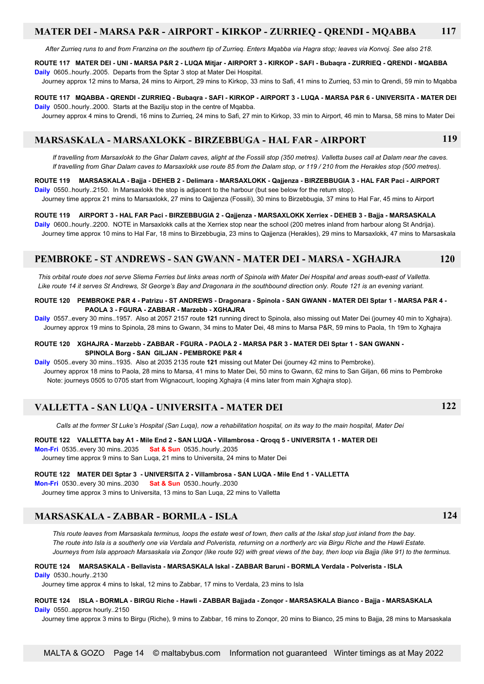### **MATER DEI - MARSA P&R - AIRPORT - KIRKOP - ZURRIEQ - QRENDI - MQABBA 117**

*After Zurrieq runs to and from Franzina on the southern tip of Zurrieq. Enters Mqabba via Hagra stop; leaves via Konvoj. See also 218.*

#### **ROUTE 117 MATER DEI - UNI - MARSA P&R 2 - LUQA Mitjar - AIRPORT 3 - KIRKOP - SAFI - Bubaqra - ZURRIEQ - QRENDI - MQABBA Daily** 0605..hourly..2005. Departs from the Sptar 3 stop at Mater Dei Hospital.

Journey approx 12 mins to Marsa, 24 mins to Airport, 29 mins to Kirkop, 33 mins to Safi, 41 mins to Zurrieq, 53 min to Qrendi, 59 min to Mqabba

**ROUTE 117 MQABBA - QRENDI - ZURRIEQ - Bubaqra - SAFI - KIRKOP - AIRPORT 3 - LUQA - MARSA P&R 6 - UNIVERSITA - MATER DEI Daily** 0500..hourly..2000. Starts at the Bazilju stop in the centre of Mqabba.

Journey approx 4 mins to Qrendi, 16 mins to Zurrieq, 24 mins to Safi, 27 min to Kirkop, 33 min to Airport, 46 min to Marsa, 58 mins to Mater Dei

### **MARSASKALA - MARSAXLOKK - BIRZEBBUGA - HAL FAR - AIRPORT 119**

 *If travelling from Marsaxlokk to the Ghar Dalam caves, alight at the Fossili stop (350 metres). Valletta buses call at Dalam near the caves. If travelling from Ghar Dalam caves to Marsaxlokk use route 85 from the Dalam stop, or 119 / 210 from the Herakles stop (500 metres).*

#### **ROUTE 119 MARSASKALA - Bajja - DEHEB 2 - Delimara - MARSAXLOKK - Qajjenza - BIRZEBBUGIA 3 - HAL FAR Paci - AIRPORT Daily** 0550..hourly..2150. In Marsaxlokk the stop is adjacent to the harbour (but see below for the return stop).

Journey time approx 21 mins to Marsaxlokk, 27 mins to Qajjenza (Fossili), 30 mins to Birzebbugia, 37 mins to Hal Far, 45 mins to Airport

### **ROUTE 119 AIRPORT 3 - HAL FAR Paci - BIRZEBBUGIA 2 - Qajjenza - MARSAXLOKK Xerriex - DEHEB 3 - Bajja - MARSASKALA**

**Daily** 0600..hourly..2200. NOTE in Marsaxlokk calls at the Xerriex stop near the school (200 metres inland from harbour along St Andrija). Journey time approx 10 mins to Hal Far, 18 mins to Birzebbugia, 23 mins to Qajjenza (Herakles), 29 mins to Marsaxlokk, 47 mins to Marsaskala

### **PEMBROKE - ST ANDREWS - SAN GWANN - MATER DEI - MARSA - XGHAJRA 120**

 *This orbital route does not serve Sliema Ferries but links areas north of Spinola with Mater Dei Hospital and areas south-east of Valletta. Like route 14 it serves St Andrews, St George's Bay and Dragonara in the southbound direction only. Route 121 is an evening variant.*

**ROUTE 120 PEMBROKE P&R 4 - Patrizu - ST ANDREWS - Dragonara - Spinola - SAN GWANN - MATER DEI Sptar 1 - MARSA P&R 4 - PAOLA 3 - FGURA - ZABBAR - Marzebb - XGHAJRA**

**Daily** 0557..every 30 mins..1957. Also at 2057 2157 route **121** running direct to Spinola, also missing out Mater Dei (journey 40 min to Xghajra). Journey approx 19 mins to Spinola, 28 mins to Gwann, 34 mins to Mater Dei, 48 mins to Marsa P&R, 59 mins to Paola, 1h 19m to Xghajra

#### **ROUTE 120 XGHAJRA - Marzebb - ZABBAR - FGURA - PAOLA 2 - MARSA P&R 3 - MATER DEI Sptar 1 - SAN GWANN - SPINOLA Borg - SAN GILJAN - PEMBROKE P&R 4**

**Daily** 0505..every 30 mins..1935. Also at 2035 2135 route **121** missing out Mater Dei (journey 42 mins to Pembroke).

 Journey approx 18 mins to Paola, 28 mins to Marsa, 41 mins to Mater Dei, 50 mins to Gwann, 62 mins to San Giljan, 66 mins to Pembroke Note: journeys 0505 to 0705 start from Wignacourt, looping Xghajra (4 mins later from main Xghajra stop).

### **VALLETTA - SAN LUQA - UNIVERSITA - MATER DEI 122**

 *Calls at the former St Luke's Hospital (San Luqa), now a rehabilitation hospital, on its way to the main hospital, Mater Dei*

**ROUTE 122 VALLETTA bay A1 - Mile End 2 - SAN LUQA - Villambrosa - Qroqq 5 - UNIVERSITA 1 - MATER DEI Mon-Fri** 0535..every 30 mins..2035 **Sat & Sun** 0535..hourly..2035 Journey time approx 9 mins to San Luqa, 21 mins to Universita, 24 mins to Mater Dei

**ROUTE 122 MATER DEI Sptar 3 - UNIVERSITA 2 - Villambrosa - SAN LUQA - Mile End 1 - VALLETTA**

**Mon-Fri** 0530..every 30 mins..2030 **Sat & Sun** 0530..hourly..2030

Journey time approx 3 mins to Universita, 13 mins to San Luqa, 22 mins to Valletta

### **MARSASKALA - ZABBAR - BORMLA - ISLA 124**

 *This route leaves from Marsaskala terminus, loops the estate west of town, then calls at the Iskal stop just inland from the bay. The route into Isla is a southerly one via Verdala and Polverista, returning on a northerly arc via Birgu Riche and the Hawli Estate. Journeys from Isla approach Marsaskala via Zonqor (like route 92) with great views of the bay, then loop via Bajja (like 91) to the terminus.*

#### **ROUTE 124 MARSASKALA - Bellavista - MARSASKALA Iskal - ZABBAR Baruni - BORMLA Verdala - Polverista - ISLA Daily** 0530..hourly..2130

Journey time approx 4 mins to Iskal, 12 mins to Zabbar, 17 mins to Verdala, 23 mins to Isla

#### **ROUTE 124 ISLA - BORMLA - BIRGU Riche - Hawli - ZABBAR Bajjada - Zonqor - MARSASKALA Bianco - Bajja - MARSASKALA Daily** 0550..approx hourly..2150

Journey time approx 3 mins to Birgu (Riche), 9 mins to Zabbar, 16 mins to Zonqor, 20 mins to Bianco, 25 mins to Bajja, 28 mins to Marsaskala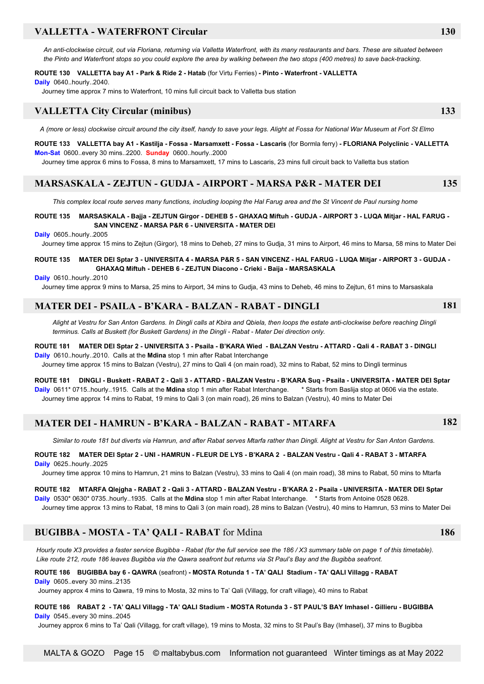### **VALLETTA - WATERFRONT Circular 130**

*An anti-clockwise circuit, out via Floriana, returning via Valletta Waterfront, with its many restaurants and bars. These are situated between the Pinto and Waterfront stops so you could explore the area by walking between the two stops (400 metres) to save back-tracking.*

#### **ROUTE 130 VALLETTA bay A1 - Park & Ride 2 - Hatab** (for Virtu Ferries) **- Pinto - Waterfront - VALLETTA**

**Daily** 0640..hourly..2040.

Journey time approx 7 mins to Waterfront, 10 mins full circuit back to Valletta bus station

### **VALLETTA City Circular (minibus) 133**

*A (more or less) clockwise circuit around the city itself, handy to save your legs. Alight at Fossa for National War Museum at Fort St Elmo*

**ROUTE 133 VALLETTA bay A1 - Kastilja - Fossa - Marsamxett - Fossa - Lascaris** (for Bormla ferry) **- FLORIANA Polyclinic - VALLETTA Mon-Sat** 0600..every 30 mins..2200. **Sunday** 0600..hourly..2000

Journey time approx 6 mins to Fossa, 8 mins to Marsamxett, 17 mins to Lascaris, 23 mins full circuit back to Valletta bus station

### **MARSASKALA - ZEJTUN - GUDJA - AIRPORT - MARSA P&R - MATER DEI 135**

 *This complex local route serves many functions, including looping the Hal Farug area and the St Vincent de Paul nursing home*

#### **ROUTE 135 MARSASKALA - Bajja - ZEJTUN Girgor - DEHEB 5 - GHAXAQ Miftuh - GUDJA - AIRPORT 3 - LUQA Mitjar - HAL FARUG - SAN VINCENZ - MARSA P&R 6 - UNIVERSITA - MATER DEI**

**Daily** 0605..hourly..2005

Journey time approx 15 mins to Zejtun (Girgor), 18 mins to Deheb, 27 mins to Gudja, 31 mins to Airport, 46 mins to Marsa, 58 mins to Mater Dei

#### **ROUTE 135 MATER DEI Sptar 3 - UNIVERSITA 4 - MARSA P&R 5 - SAN VINCENZ - HAL FARUG - LUQA Mitjar - AIRPORT 3 - GUDJA - GHAXAQ Miftuh - DEHEB 6 - ZEJTUN Diacono - Crieki - Baija - MARSASKALA**

**Daily** 0610..hourly..2010

Journey time approx 9 mins to Marsa, 25 mins to Airport, 34 mins to Gudja, 43 mins to Deheb, 46 mins to Zejtun, 61 mins to Marsaskala

### **MATER DEI - PSAILA - B'KARA - BALZAN - RABAT - DINGLI**

*Alight at Vestru for San Anton Gardens. In Dingli calls at Kbira and Qbiela, then loops the estate anti-clockwise before reaching Dingli terminus. Calls at Buskett (for Buskett Gardens) in the Dingli - Rabat - Mater Dei direction only.*

### **ROUTE 181 MATER DEI Sptar 2 - UNIVERSITA 3 - Psaila - B'KARA Wied - BALZAN Vestru - ATTARD - Qali 4 - RABAT 3 - DINGLI**

**Daily** 0610..hourly..2010. Calls at the **Mdina** stop 1 min after Rabat Interchange Journey time approx 15 mins to Balzan (Vestru), 27 mins to Qali 4 (on main road), 32 mins to Rabat, 52 mins to Dingli terminus

**ROUTE 181 DINGLI - Buskett - RABAT 2 - Qali 3 - ATTARD - BALZAN Vestru - B'KARA Suq - Psaila - UNIVERSITA - MATER DEI Sptar Daily** 0611\* 0715..hourly..1915. Calls at the **Mdina** stop 1 min after Rabat Interchange. \* Starts from Baslija stop at 0606 via the estate. Journey time approx 14 mins to Rabat, 19 mins to Qali 3 (on main road), 26 mins to Balzan (Vestru), 40 mins to Mater Dei

### **MATER DEI - HAMRUN - B'KARA - BALZAN - RABAT - MTARFA 182**

*Similar to route 181 but diverts via Hamrun, and after Rabat serves Mtarfa rather than Dingli. Alight at Vestru for San Anton Gardens.*

#### **ROUTE 182 MATER DEI Sptar 2 - UNI - HAMRUN - FLEUR DE LYS - B'KARA 2 - BALZAN Vestru - Qali 4 - RABAT 3 - MTARFA Daily** 0625..hourly..2025

Journey time approx 10 mins to Hamrun, 21 mins to Balzan (Vestru), 33 mins to Qali 4 (on main road), 38 mins to Rabat, 50 mins to Mtarfa

### **ROUTE 182 MTARFA Qlejgha - RABAT 2 - Qali 3 - ATTARD - BALZAN Vestru - B'KARA 2 - Psaila - UNIVERSITA - MATER DEI Sptar Daily** 0530\* 0630\* 0735..hourly..1935. Calls at the **Mdina** stop 1 min after Rabat Interchange. \* Starts from Antoine 0528 0628.

Journey time approx 13 mins to Rabat, 18 mins to Qali 3 (on main road), 28 mins to Balzan (Vestru), 40 mins to Hamrun, 53 mins to Mater Dei

### **BUGIBBA - MOSTA - TA' QALI - RABAT** for Mdina **186**

 *Hourly route X3 provides a faster service Bugibba - Rabat (for the full service see the 186 / X3 summary table on page 1 of this timetable). Like route 212, route 186 leaves Bugibba via the Qawra seafront but returns via St Paul's Bay and the Bugibba seafront.*

### **ROUTE 186 BUGIBBA bay 6 - QAWRA** (seafront) **- MOSTA Rotunda 1 - TA' QALI Stadium - TA' QALI Villagg - RABAT**

**Daily** 0605..every 30 mins..2135

Journey approx 4 mins to Qawra, 19 mins to Mosta, 32 mins to Ta' Qali (Villagg, for craft village), 40 mins to Rabat

#### **ROUTE 186 RABAT 2 - TA' QALI Villagg - TA' QALI Stadium - MOSTA Rotunda 3 - ST PAUL'S BAY Imhasel - Gillieru - BUGIBBA Daily** 0545 every 30 mins. 2045

Journey approx 6 mins to Ta' Qali (Villagg, for craft village), 19 mins to Mosta, 32 mins to St Paul's Bay (Imhasel), 37 mins to Bugibba

**181**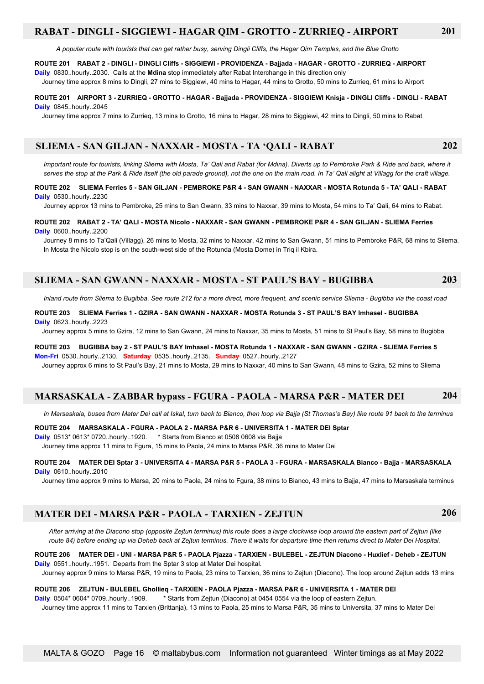### **RABAT - DINGLI - SIGGIEWI - HAGAR QIM - GROTTO - ZURRIEQ - AIRPORT 201**

 *A popular route with tourists that can get rather busy, serving Dingli Cliffs, the Hagar Qim Temples, and the Blue Grotto*

#### **ROUTE 201 RABAT 2 - DINGLI - DINGLI Cliffs - SIGGIEWI - PROVIDENZA - Bajjada - HAGAR - GROTTO - ZURRIEQ - AIRPORT**

**Daily** 0830..hourly..2030. Calls at the **Mdina** stop immediately after Rabat Interchange in this direction only Journey time approx 8 mins to Dingli, 27 mins to Siggiewi, 40 mins to Hagar, 44 mins to Grotto, 50 mins to Zurrieq, 61 mins to Airport

#### **ROUTE 201 AIRPORT 3 - ZURRIEQ - GROTTO - HAGAR - Bajjada - PROVIDENZA - SIGGIEWI Knisja - DINGLI Cliffs - DINGLI - RABAT Daily** 0845. hourly. 2045.

Journey time approx 7 mins to Zurrieq, 13 mins to Grotto, 16 mins to Hagar, 28 mins to Siggiewi, 42 mins to Dingli, 50 mins to Rabat

### **SLIEMA - SAN GILJAN - NAXXAR - MOSTA - TA 'QALI - RABAT 202**

*Important route for tourists, linking Sliema with Mosta, Ta' Qali and Rabat (for Mdina). Diverts up to Pembroke Park & Ride and back, where it serves the stop at the Park & Ride itself (the old parade ground), not the one on the main road. In Ta' Qali alight at Villagg for the craft village.*

#### **ROUTE 202 SLIEMA Ferries 5 - SAN GILJAN - PEMBROKE P&R 4 - SAN GWANN - NAXXAR - MOSTA Rotunda 5 - TA' QALI - RABAT Daily** 0530..hourly..2230

Journey approx 13 mins to Pembroke, 25 mins to San Gwann, 33 mins to Naxxar, 39 mins to Mosta, 54 mins to Ta' Qali, 64 mins to Rabat.

#### **ROUTE 202 RABAT 2 - TA' QALI - MOSTA Nicolo - NAXXAR - SAN GWANN - PEMBROKE P&R 4 - SAN GILJAN - SLIEMA Ferries Daily** 0600..hourly..2200

 Journey 8 mins to Ta'Qali (Villagg), 26 mins to Mosta, 32 mins to Naxxar, 42 mins to San Gwann, 51 mins to Pembroke P&R, 68 mins to Sliema. In Mosta the Nicolo stop is on the south-west side of the Rotunda (Mosta Dome) in Triq il Kbira.

### **SLIEMA - SAN GWANN - NAXXAR - MOSTA - ST PAUL'S BAY - BUGIBBA 203**

 *Inland route from Sliema to Bugibba. See route 212 for a more direct, more frequent, and scenic service Sliema - Bugibba via the coast road*

#### **ROUTE 203 SLIEMA Ferries 1 - GZIRA - SAN GWANN - NAXXAR - MOSTA Rotunda 3 - ST PAUL'S BAY Imhasel - BUGIBBA Daily** 0623..hourly..2223

Journey approx 5 mins to Gzira, 12 mins to San Gwann, 24 mins to Naxxar, 35 mins to Mosta, 51 mins to St Paul's Bay, 58 mins to Bugibba

### **ROUTE 203 BUGIBBA bay 2 - ST PAUL'S BAY Imhasel - MOSTA Rotunda 1 - NAXXAR - SAN GWANN - GZIRA - SLIEMA Ferries 5**

**Mon-Fri** 0530..hourly..2130. **Saturday** 0535..hourly..2135. **Sunday** 0527..hourly..2127 Journey approx 6 mins to St Paul's Bay, 21 mins to Mosta, 29 mins to Naxxar, 40 mins to San Gwann, 48 mins to Gzira, 52 mins to Sliema

### **MARSASKALA - ZABBAR bypass - FGURA - PAOLA - MARSA P&R - MATER DEI 204**

*In Marsaskala, buses from Mater Dei call at Iskal, turn back to Bianco, then loop via Bajja (St Thomas's Bay) like route 91 back to the terminus*

#### **ROUTE 204 MARSASKALA - FGURA - PAOLA 2 - MARSA P&R 6 - UNIVERSITA 1 - MATER DEI Sptar**

**Daily** 0513\* 0613\* 0720..hourly..1920. \* Starts from Bianco at 0508 0608 via Bajja

Journey time approx 11 mins to Fgura, 15 mins to Paola, 24 mins to Marsa P&R, 36 mins to Mater Dei

#### **ROUTE 204 MATER DEI Sptar 3 - UNIVERSITA 4 - MARSA P&R 5 - PAOLA 3 - FGURA - MARSASKALA Bianco - Bajja - MARSASKALA Daily** 0610..hourly..2010

Journey time approx 9 mins to Marsa, 20 mins to Paola, 24 mins to Fgura, 38 mins to Bianco, 43 mins to Bajja, 47 mins to Marsaskala terminus

### **MATER DEI - MARSA P&R - PAOLA - TARXIEN - ZEJTUN 206**

 *After arriving at the Diacono stop (opposite Zejtun terminus) this route does a large clockwise loop around the eastern part of Zejtun (like route 84) before ending up via Deheb back at Zejtun terminus. There it waits for departure time then returns direct to Mater Dei Hospital.*

#### **ROUTE 206 MATER DEI - UNI - MARSA P&R 5 - PAOLA Pjazza - TARXIEN - BULEBEL - ZEJTUN Diacono - Huxlief - Deheb - ZEJTUN Daily** 0551..hourly..1951. Departs from the Sptar 3 stop at Mater Dei hospital.

Journey approx 9 mins to Marsa P&R, 19 mins to Paola, 23 mins to Tarxien, 36 mins to Zejtun (Diacono). The loop around Zejtun adds 13 mins

#### **ROUTE 206 ZEJTUN - BULEBEL Ghollieq - TARXIEN - PAOLA Pjazza - MARSA P&R 6 - UNIVERSITA 1 - MATER DEI**

**Daily** 0504\* 0604\* 0709..hourly..1909. \* Starts from Zejtun (Diacono) at 0454 0554 via the loop of eastern Zejtun. Journey time approx 11 mins to Tarxien (Brittanja), 13 mins to Paola, 25 mins to Marsa P&R, 35 mins to Universita, 37 mins to Mater Dei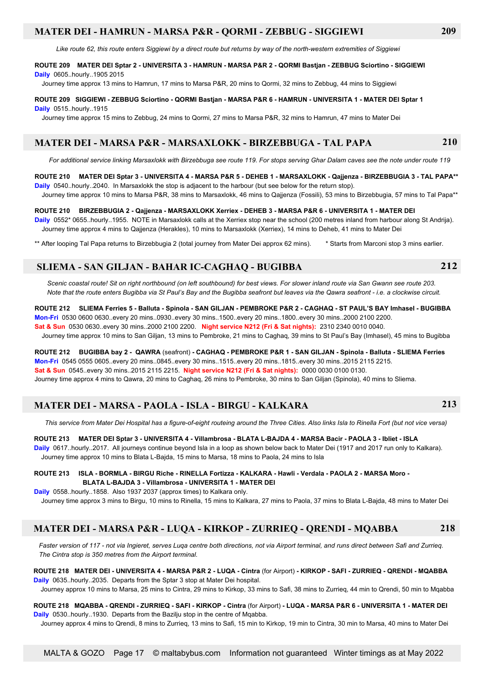### **MATER DEI - HAMRUN - MARSA P&R - QORMI - ZEBBUG - SIGGIEWI 209**

 *Like route 62, this route enters Siggiewi by a direct route but returns by way of the north-western extremities of Siggiewi*

#### **ROUTE 209 MATER DEI Sptar 2 - UNIVERSITA 3 - HAMRUN - MARSA P&R 2 - QORMI Bastjan - ZEBBUG Sciortino - SIGGIEWI**

**Daily** 0605..hourly..1905 2015

Journey time approx 13 mins to Hamrun, 17 mins to Marsa P&R, 20 mins to Qormi, 32 mins to Zebbug, 44 mins to Siggiewi

#### **ROUTE 209 SIGGIEWI - ZEBBUG Sciortino - QORMI Bastjan - MARSA P&R 6 - HAMRUN - UNIVERSITA 1 - MATER DEI Sptar 1**

**Daily** 0515..hourly..1915

Journey time approx 15 mins to Zebbug, 24 mins to Qormi, 27 mins to Marsa P&R, 32 mins to Hamrun, 47 mins to Mater Dei

### **MATER DEI - MARSA P&R - MARSAXLOKK - BIRZEBBUGA - TAL PAPA 210**

 *For additional service linking Marsaxlokk with Birzebbuga see route 119. For stops serving Ghar Dalam caves see the note under route 119*

#### **ROUTE 210 MATER DEI Sptar 3 - UNIVERSITA 4 - MARSA P&R 5 - DEHEB 1 - MARSAXLOKK - Qajjenza - BIRZEBBUGIA 3 - TAL PAPA\*\***

**Daily** 0540..hourly..2040. In Marsaxlokk the stop is adjacent to the harbour (but see below for the return stop). Journey time approx 10 mins to Marsa P&R, 38 mins to Marsaxlokk, 46 mins to Qajjenza (Fossili), 53 mins to Birzebbugia, 57 mins to Tal Papa\*\*

#### **ROUTE 210 BIRZEBBUGIA 2 - Qajjenza - MARSAXLOKK Xerriex - DEHEB 3 - MARSA P&R 6 - UNIVERSITA 1 - MATER DEI**

**Daily** 0552\* 0655..hourly..1955. NOTE in Marsaxlokk calls at the Xerriex stop near the school (200 metres inland from harbour along St Andrija). Journey time approx 4 mins to Qajjenza (Herakles), 10 mins to Marsaxlokk (Xerriex), 14 mins to Deheb, 41 mins to Mater Dei

\*\* After looping Tal Papa returns to Birzebbugia 2 (total journey from Mater Dei approx 62 mins). \* Starts from Marconi stop 3 mins earlier.

### **SLIEMA - SAN GILJAN - BAHAR IC-CAGHAQ - BUGIBBA 212**

*Scenic coastal route! Sit on right northbound (on left southbound) for best views. For slower inland route via San Gwann see route 203. Note that the route enters Bugibba via St Paul's Bay and the Bugibba seafront but leaves via the Qawra seafront - i.e. a clockwise circuit.*

### **ROUTE 212 SLIEMA Ferries 5 - Balluta - Spinola - SAN GILJAN - PEMBROKE P&R 2 - CAGHAQ - ST PAUL'S BAY Imhasel - BUGIBBA**

**Mon-Fri** 0530 0600 0630..every 20 mins..0930..every 30 mins..1500..every 20 mins..1800..every 30 mins..2000 2100 2200. **Sat & Sun** 0530 0630..every 30 mins..2000 2100 2200. **Night service N212 (Fri & Sat nights):** 2310 2340 0010 0040.

Journey time approx 10 mins to San Giljan, 13 mins to Pembroke, 21 mins to Caghaq, 39 mins to St Paul's Bay (Imhasel), 45 mins to Bugibba

**ROUTE 212 BUGIBBA bay 2 - QAWRA** (seafront) **- CAGHAQ - PEMBROKE P&R 1 - SAN GILJAN - Spinola - Balluta - SLIEMA Ferries Mon-Fri** 0545 0555 0605..every 20 mins..0845..every 30 mins..1515..every 20 mins..1815..every 30 mins..2015 2115 2215. **Sat & Sun** 0545..every 30 mins..2015 2115 2215. **Night service N212 (Fri & Sat nights):** 0000 0030 0100 0130. Journey time approx 4 mins to Qawra, 20 mins to Caghaq, 26 mins to Pembroke, 30 mins to San Giljan (Spinola), 40 mins to Sliema.

### **MATER DEI - MARSA - PAOLA - ISLA - BIRGU - KALKARA 213**

 *This service from Mater Dei Hospital has a figure-of-eight routeing around the Three Cities. Also links Isla to Rinella Fort (but not vice versa)*

#### **ROUTE 213 MATER DEI Sptar 3 - UNIVERSITA 4 - Villambrosa - BLATA L-BAJDA 4 - MARSA Bacir - PAOLA 3 - Ibliet - ISLA**

**Daily** 0617..hourly..2017. All journeys continue beyond Isla in a loop as shown below back to Mater Dei (1917 and 2017 run only to Kalkara). Journey time approx 10 mins to Blata L-Bajda, 15 mins to Marsa, 18 mins to Paola, 24 mins to Isla

#### **ROUTE 213 ISLA - BORMLA - BIRGU Riche - RINELLA Fortizza - KALKARA - Hawli - Verdala - PAOLA 2 - MARSA Moro - BLATA L-BAJDA 3 - Villambrosa - UNIVERSITA 1 - MATER DEI**

**Daily** 0558..hourly..1858. Also 1937 2037 (approx times) to Kalkara only. Journey time approx 3 mins to Birgu, 10 mins to Rinella, 15 mins to Kalkara, 27 mins to Paola, 37 mins to Blata L-Bajda, 48 mins to Mater Dei

### **MATER DEI - MARSA P&R - LUQA - KIRKOP - ZURRIEQ - QRENDI - MQABBA 218**

*Faster version of 117 - not via Ingieret, serves Luqa centre both directions, not via Airport terminal, and runs direct between Safi and Zurrieq. The Cintra stop is 350 metres from the Airport terminal.*

#### **ROUTE 218 MATER DEI - UNIVERSITA 4 - MARSA P&R 2 - LUQA - Cintra** (for Airport) **- KIRKOP - SAFI - ZURRIEQ - QRENDI - MQABBA Daily** 0635..hourly..2035. Departs from the Sptar 3 stop at Mater Dei hospital.

Journey approx 10 mins to Marsa, 25 mins to Cintra, 29 mins to Kirkop, 33 mins to Safi, 38 mins to Zurrieq, 44 min to Qrendi, 50 min to Mqabba

#### **ROUTE 218 MQABBA - QRENDI - ZURRIEQ - SAFI - KIRKOP - Cintra** (for Airport) **- LUQA - MARSA P&R 6 - UNIVERSITA 1 - MATER DEI Daily** 0530..hourly..1930. Departs from the Bazilju stop in the centre of Mqabba.

Journey approx 4 mins to Qrendi, 8 mins to Zurrieq, 13 mins to Safi, 15 min to Kirkop, 19 min to Cintra, 30 min to Marsa, 40 mins to Mater Dei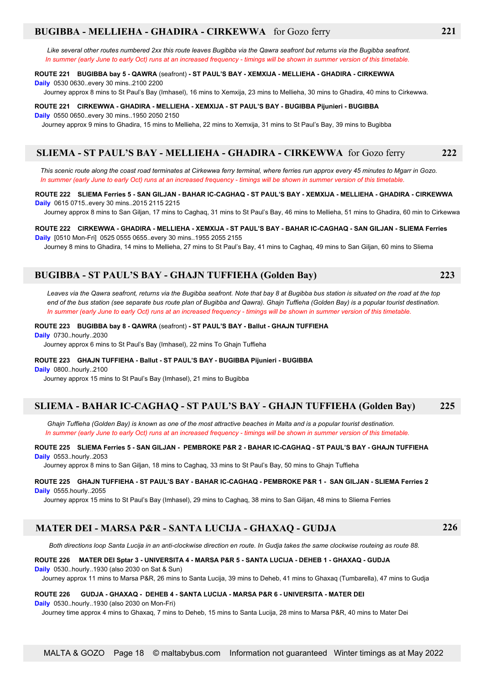### **BUGIBBA - MELLIEHA - GHADIRA - CIRKEWWA** for Gozo ferry **221**

 *Like several other routes numbered 2xx this route leaves Bugibba via the Qawra seafront but returns via the Bugibba seafront. In summer (early June to early Oct) runs at an increased frequency - timings will be shown in summer version of this timetable.*

#### **ROUTE 221 BUGIBBA bay 5 - QAWRA** (seafront) **- ST PAUL'S BAY - XEMXIJA - MELLIEHA - GHADIRA - CIRKEWWA**

**Daily** 0530 0630..every 30 mins..2100 2200

Journey approx 8 mins to St Paul's Bay (Imhasel), 16 mins to Xemxija, 23 mins to Mellieha, 30 mins to Ghadira, 40 mins to Cirkewwa.

#### **ROUTE 221 CIRKEWWA - GHADIRA - MELLIEHA - XEMXIJA - ST PAUL'S BAY - BUGIBBA Pijunieri - BUGIBBA**

**Daily** 0550 0650..every 30 mins..1950 2050 2150

Journey approx 9 mins to Ghadira, 15 mins to Mellieha, 22 mins to Xemxija, 31 mins to St Paul's Bay, 39 mins to Bugibba

### **SLIEMA - ST PAUL'S BAY - MELLIEHA - GHADIRA - CIRKEWWA** for Gozo ferry **222**

 *This scenic route along the coast road terminates at Cirkewwa ferry terminal, where ferries run approx every 45 minutes to Mgarr in Gozo. In summer (early June to early Oct) runs at an increased frequency - timings will be shown in summer version of this timetable.*

#### **ROUTE 222 SLIEMA Ferries 5 - SAN GILJAN - BAHAR IC-CAGHAQ - ST PAUL'S BAY - XEMXIJA - MELLIEHA - GHADIRA - CIRKEWWA Daily** 0615 0715..every 30 mins..2015 2115 2215

Journey approx 8 mins to San Giljan, 17 mins to Caghaq, 31 mins to St Paul's Bay, 46 mins to Mellieha, 51 mins to Ghadira, 60 min to Cirkewwa

#### **ROUTE 222 CIRKEWWA - GHADIRA - MELLIEHA - XEMXIJA - ST PAUL'S BAY - BAHAR IC-CAGHAQ - SAN GILJAN - SLIEMA Ferries Daily** [0510 Mon-Fri] 0525 0555 0655..every 30 mins..1955 2055 2155

Journey 8 mins to Ghadira, 14 mins to Mellieha, 27 mins to St Paul's Bay, 41 mins to Caghaq, 49 mins to San Giljan, 60 mins to Sliema

### **BUGIBBA - ST PAUL'S BAY - GHAJN TUFFIEHA (Golden Bay) 223**

 *Leaves via the Qawra seafront, returns via the Bugibba seafront. Note that bay 8 at Bugibba bus station is situated on the road at the top end of the bus station (see separate bus route plan of Bugibba and Qawra). Ghajn Tuffieha (Golden Bay) is a popular tourist destination. In summer (early June to early Oct) runs at an increased frequency - timings will be shown in summer version of this timetable.*

#### **ROUTE 223 BUGIBBA bay 8 - QAWRA** (seafront) **- ST PAUL'S BAY - Ballut - GHAJN TUFFIEHA**

**Daily** 0730..hourly..2030

Journey approx 6 mins to St Paul's Bay (Imhasel), 22 mins To Ghajn Tuffieha

#### **ROUTE 223 GHAJN TUFFIEHA - Ballut - ST PAUL'S BAY - BUGIBBA Pijunieri - BUGIBBA**

**Daily** 0800..hourly..2100

Journey approx 15 mins to St Paul's Bay (Imhasel), 21 mins to Bugibba

### **SLIEMA - BAHAR IC-CAGHAQ - ST PAUL'S BAY - GHAJN TUFFIEHA (Golden Bay) 225**

 *Ghajn Tuffieha (Golden Bay) is known as one of the most attractive beaches in Malta and is a popular tourist destination. In summer (early June to early Oct) runs at an increased frequency - timings will be shown in summer version of this timetable.*

#### **ROUTE 225 SLIEMA Ferries 5 - SAN GILJAN - PEMBROKE P&R 2 - BAHAR IC-CAGHAQ - ST PAUL'S BAY - GHAJN TUFFIEHA**

**Daily** 0553..hourly..2053

Journey approx 8 mins to San Giljan, 18 mins to Caghaq, 33 mins to St Paul's Bay, 50 mins to Ghajn Tuffieha

#### **ROUTE 225 GHAJN TUFFIEHA - ST PAUL'S BAY - BAHAR IC-CAGHAQ - PEMBROKE P&R 1 - SAN GILJAN - SLIEMA Ferries 2 Daily** 0555.hourly..2055

Journey approx 15 mins to St Paul's Bay (Imhasel), 29 mins to Caghaq, 38 mins to San Giljan, 48 mins to Sliema Ferries

### **MATER DEI - MARSA P&R - SANTA LUCIJA - GHAXAQ - GUDJA 226**

 *Both directions loop Santa Lucija in an anti-clockwise direction en route. In Gudja takes the same clockwise routeing as route 88.*

#### **ROUTE 226 MATER DEI Sptar 3 - UNIVERSITA 4 - MARSA P&R 5 - SANTA LUCIJA - DEHEB 1 - GHAXAQ - GUDJA**

**Daily** 0530..hourly..1930 (also 2030 on Sat & Sun)

Journey approx 11 mins to Marsa P&R, 26 mins to Santa Lucija, 39 mins to Deheb, 41 mins to Ghaxaq (Tumbarella), 47 mins to Gudja

### **ROUTE 226 GUDJA - GHAXAQ - DEHEB 4 - SANTA LUCIJA - MARSA P&R 6 - UNIVERSITA - MATER DEI**

**Daily** 0530..hourly..1930 (also 2030 on Mon-Fri)

Journey time approx 4 mins to Ghaxaq, 7 mins to Deheb, 15 mins to Santa Lucija, 28 mins to Marsa P&R, 40 mins to Mater Dei

MALTA & GOZO Page 18 © maltabybus.com Information not guaranteed Winter timings as at May 2022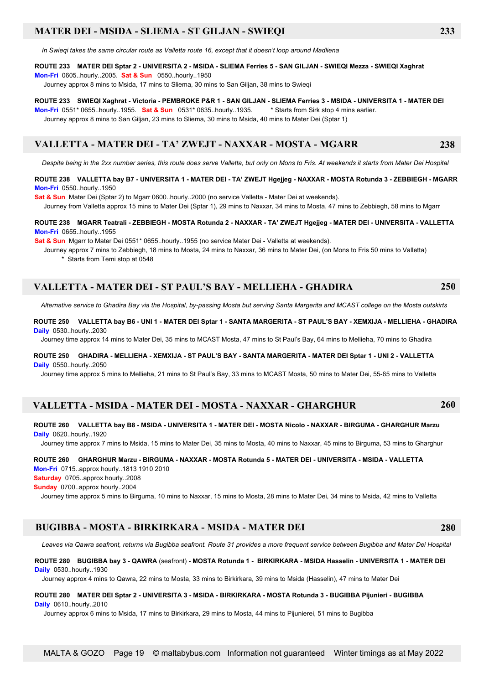### **MATER DEI - MSIDA - SLIEMA - ST GILJAN - SWIEQI 233**

 *In Swieqi takes the same circular route as Valletta route 16, except that it doesn't loop around Madliena*

#### **ROUTE 233 MATER DEI Sptar 2 - UNIVERSITA 2 - MSIDA - SLIEMA Ferries 5 - SAN GILJAN - SWIEQI Mezza - SWIEQI Xaghrat**

**Mon-Fri** 0605..hourly..2005. **Sat & Sun** 0550..hourly..1950

Journey approx 8 mins to Msida, 17 mins to Sliema, 30 mins to San Giljan, 38 mins to Swieqi

#### **ROUTE 233 SWIEQI Xaghrat - Victoria - PEMBROKE P&R 1 - SAN GILJAN - SLIEMA Ferries 3 - MSIDA - UNIVERSITA 1 - MATER DEI**

**Mon-Fri** 0551\* 0655..hourly..1955. **Sat & Sun** 0531\* 0635..hourly..1935. \* Starts from Sirk stop 4 mins earlier.

Journey approx 8 mins to San Giljan, 23 mins to Sliema, 30 mins to Msida, 40 mins to Mater Dei (Sptar 1)

### **VALLETTA - MATER DEI - TA' ZWEJT - NAXXAR - MOSTA - MGARR**

 *Despite being in the 2xx number series, this route does serve Valletta, but only on Mons to Fris. At weekends it starts from Mater Dei Hospital*

#### **ROUTE 238 VALLETTA bay B7 - UNIVERSITA 1 - MATER DEI - TA' ZWEJT Hgejjeg - NAXXAR - MOSTA Rotunda 3 - ZEBBIEGH - MGARR Mon-Fri** 0550..hourly..1950

**Sat & Sun** Mater Dei (Sptar 2) to Mgarr 0600..hourly..2000 (no service Valletta - Mater Dei at weekends).

Journey from Valletta approx 15 mins to Mater Dei (Sptar 1), 29 mins to Naxxar, 34 mins to Mosta, 47 mins to Zebbiegh, 58 mins to Mgarr

#### **ROUTE 238 MGARR Teatrali - ZEBBIEGH - MOSTA Rotunda 2 - NAXXAR - TA' ZWEJT Hgejjeg - MATER DEI - UNIVERSITA - VALLETTA Mon-Fri** 0655 hourly 1955

**Sat & Sun** Mgarr to Mater Dei 0551\* 0655..hourly..1955 (no service Mater Dei - Valletta at weekends).

 Journey approx 7 mins to Zebbiegh, 18 mins to Mosta, 24 mins to Naxxar, 36 mins to Mater Dei, (on Mons to Fris 50 mins to Valletta) \* Starts from Temi stop at 0548

### **VALLETTA - MATER DEI - ST PAUL'S BAY - MELLIEHA - GHADIRA 250**

*Alternative service to Ghadira Bay via the Hospital, by-passing Mosta but serving Santa Margerita and MCAST college on the Mosta outskirts*

#### **ROUTE 250 VALLETTA bay B6 - UNI 1 - MATER DEI Sptar 1 - SANTA MARGERITA - ST PAUL'S BAY - XEMXIJA - MELLIEHA - GHADIRA Daily** 0530..hourly..2030

Journey time approx 14 mins to Mater Dei, 35 mins to MCAST Mosta, 47 mins to St Paul's Bay, 64 mins to Mellieha, 70 mins to Ghadira

#### **ROUTE 250 GHADIRA - MELLIEHA - XEMXIJA - ST PAUL'S BAY - SANTA MARGERITA - MATER DEI Sptar 1 - UNI 2 - VALLETTA Daily** 0550..hourly..2050

Journey time approx 5 mins to Mellieha, 21 mins to St Paul's Bay, 33 mins to MCAST Mosta, 50 mins to Mater Dei, 55-65 mins to Valletta

### **VALLETTA - MSIDA - MATER DEI - MOSTA - NAXXAR - GHARGHUR 260**

#### **ROUTE 260 VALLETTA bay B8 - MSIDA - UNIVERSITA 1 - MATER DEI - MOSTA Nicolo - NAXXAR - BIRGUMA - GHARGHUR Marzu Daily** 0620..hourly..1920

Journey time approx 7 mins to Msida, 15 mins to Mater Dei, 35 mins to Mosta, 40 mins to Naxxar, 45 mins to Birguma, 53 mins to Gharghur

#### **ROUTE 260 GHARGHUR Marzu - BIRGUMA - NAXXAR - MOSTA Rotunda 5 - MATER DEI - UNIVERSITA - MSIDA - VALLETTA Mon-Fri** 0715..approx hourly..1813 1910 2010

**Saturday** 0705..approx hourly..2008

**Sunday** 0700..approx hourly..2004

Journey time approx 5 mins to Birguma, 10 mins to Naxxar, 15 mins to Mosta, 28 mins to Mater Dei, 34 mins to Msida, 42 mins to Valletta

### **BUGIBBA - MOSTA - BIRKIRKARA - MSIDA - MATER DEI 280**

 *Leaves via Qawra seafront, returns via Bugibba seafront. Route 31 provides a more frequent service between Bugibba and Mater Dei Hospital*

#### **ROUTE 280 BUGIBBA bay 3 - QAWRA** (seafront) **- MOSTA Rotunda 1 - BIRKIRKARA - MSIDA Hasselin - UNIVERSITA 1 - MATER DEI Daily** 0530..hourly..1930

Journey approx 4 mins to Qawra, 22 mins to Mosta, 33 mins to Birkirkara, 39 mins to Msida (Hasselin), 47 mins to Mater Dei

#### **ROUTE 280 MATER DEI Sptar 2 - UNIVERSITA 3 - MSIDA - BIRKIRKARA - MOSTA Rotunda 3 - BUGIBBA Pijunieri - BUGIBBA Daily** 0610..hourly..2010

Journey approx 6 mins to Msida, 17 mins to Birkirkara, 29 mins to Mosta, 44 mins to Pijunierei, 51 mins to Bugibba

**238**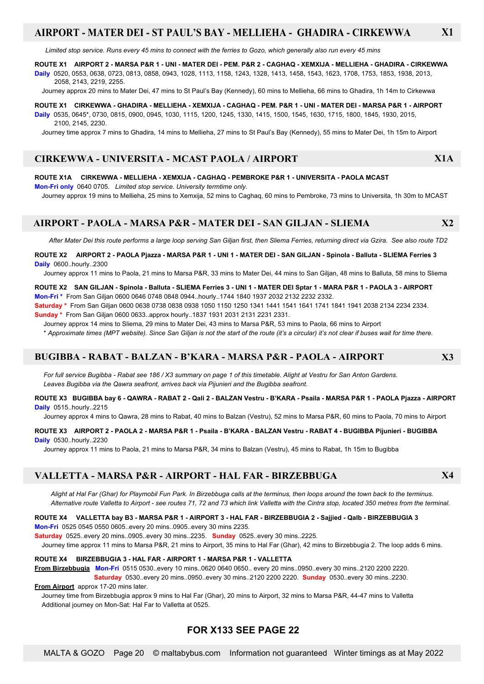### **AIRPORT - MATER DEI - ST PAUL'S BAY - MELLIEHA - GHADIRA - CIRKEWWA X1**

 *Limited stop service. Runs every 45 mins to connect with the ferries to Gozo, which generally also run every 45 mins*

#### **ROUTE X1 AIRPORT 2 - MARSA P&R 1 - UNI - MATER DEI - PEM. P&R 2 - CAGHAQ - XEMXIJA - MELLIEHA - GHADIRA - CIRKEWWA**

**Daily** 0520, 0553, 0638, 0723, 0813, 0858, 0943, 1028, 1113, 1158, 1243, 1328, 1413, 1458, 1543, 1623, 1708, 1753, 1853, 1938, 2013, 2058, 2143, 2219, 2255.

Journey approx 20 mins to Mater Dei, 47 mins to St Paul's Bay (Kennedy), 60 mins to Mellieha, 66 mins to Ghadira, 1h 14m to Cirkewwa

**ROUTE X1 CIRKEWWA - GHADIRA - MELLIEHA - XEMXIJA - CAGHAQ - PEM. P&R 1 - UNI - MATER DEI - MARSA P&R 1 - AIRPORT Daily** 0535, 0645\*, 0730, 0815, 0900, 0945, 1030, 1115, 1200, 1245, 1330, 1415, 1500, 1545, 1630, 1715, 1800, 1845, 1930, 2015, 2100, 2145, 2230.

Journey time approx 7 mins to Ghadira, 14 mins to Mellieha, 27 mins to St Paul's Bay (Kennedy), 55 mins to Mater Dei, 1h 15m to Airport

### **CIRKEWWA - UNIVERSITA - MCAST PAOLA / AIRPORT X1A**

#### **ROUTE X1A CIRKEWWA - MELLIEHA - XEMXIJA - CAGHAQ - PEMBROKE P&R 1 - UNIVERSITA - PAOLA MCAST**

**Mon-Fri only** 0640 0705. *Limited stop service. University termtime only.*

Journey approx 19 mins to Mellieha, 25 mins to Xemxija, 52 mins to Caghaq, 60 mins to Pembroke, 73 mins to Universita, 1h 30m to MCAST

#### **AIRPORT - PAOLA - MARSA P&R - MATER DEI - SAN GILJAN - SLIEMA X2**

 *After Mater Dei this route performs a large loop serving San Giljan first, then Sliema Ferries, returning direct via Gzira. See also route TD2*

**ROUTE X2 AIRPORT 2 - PAOLA Pjazza - MARSA P&R 1 - UNI 1 - MATER DEI - SAN GILJAN - Spinola - Balluta - SLIEMA Ferries 3 Daily** 0600..hourly..2300

Journey approx 11 mins to Paola, 21 mins to Marsa P&R, 33 mins to Mater Dei, 44 mins to San Giljan, 48 mins to Balluta, 58 mins to Sliema

#### **ROUTE X2 SAN GILJAN - Spinola - Balluta - SLIEMA Ferries 3 - UNI 1 - MATER DEI Sptar 1 - MARA P&R 1 - PAOLA 3 - AIRPORT Mon-Fri \*** From San Giljan 0600 0646 0748 0848 0944..hourly..1744 1840 1937 2032 2132 2232 2332.

**Saturday \*** From San Giljan 0600 0638 0738 0838 0938 1050 1150 1250 1341 1441 1541 1641 1741 1841 1941 2038 2134 2234 2334. **Sunday \*** From San Giljan 0600 0633..approx hourly..1837 1931 2031 2131 2231 2331.

Journey approx 14 mins to Sliema, 29 mins to Mater Dei, 43 mins to Marsa P&R, 53 mins to Paola, 66 mins to Airport

\* *Approximate times (MPT website). Since San Giljan is not the start of the route (it's a circular) it's not clear if buses wait for time there.*

#### **BUGIBBA - RABAT - BALZAN - B'KARA - MARSA P&R - PAOLA - AIRPORT X3**

*For full service Bugibba - Rabat see 186 / X3 summary on page 1 of this timetable. Alight at Vestru for San Anton Gardens. Leaves Bugibba via the Qawra seafront, arrives back via Pijunieri and the Bugibba seafront.*

#### **ROUTE X3 BUGIBBA bay 6 - QAWRA - RABAT 2 - Qali 2 - BALZAN Vestru - B'KARA - Psaila - MARSA P&R 1 - PAOLA Pjazza - AIRPORT Daily** 0515..hourly..2215

Journey approx 4 mins to Qawra, 28 mins to Rabat, 40 mins to Balzan (Vestru), 52 mins to Marsa P&R, 60 mins to Paola, 70 mins to Airport

#### **ROUTE X3 AIRPORT 2 - PAOLA 2 - MARSA P&R 1 - Psaila - B'KARA - BALZAN Vestru - RABAT 4 - BUGIBBA Pijunieri - BUGIBBA Daily** 0530..hourly..2230

Journey approx 11 mins to Paola, 21 mins to Marsa P&R, 34 mins to Balzan (Vestru), 45 mins to Rabat, 1h 15m to Bugibba

### **VALLETTA - MARSA P&R - AIRPORT - HAL FAR - BIRZEBBUGA X4**

 *Alight at Hal Far (Ghar) for Playmobil Fun Park. In Birzebbuga calls at the terminus, then loops around the town back to the terminus. Alternative route Valletta to Airport - see routes 71, 72 and 73 which link Valletta with the Cintra stop, located 350 metres from the terminal.*

#### **ROUTE X4 VALLETTA bay B3 - MARSA P&R 1 - AIRPORT 3 - HAL FAR - BIRZEBBUGIA 2 - Sajjied - Qalb - BIRZEBBUGIA 3**

**Mon-Fri** 0525 0545 0550 0605..every 20 mins..0905..every 30 mins 2235.

**Saturday** 0525..every 20 mins..0905..every 30 mins..2235. **Sunday** 0525..every 30 mins..2225.

Journey time approx 11 mins to Marsa P&R, 21 mins to Airport, 35 mins to Hal Far (Ghar), 42 mins to Birzebbugia 2. The loop adds 6 mins.

#### **ROUTE X4 BIRZEBBUGIA 3 - HAL FAR - AIRPORT 1 - MARSA P&R 1 - VALLETTA**

**From Birzebbugia Mon-Fri** 0515 0530..every 10 mins..0620 0640 0650.. every 20 mins..0950..every 30 mins..2120 2200 2220.  **Saturday** 0530..every 20 mins..0950..every 30 mins..2120 2200 2220. **Sunday** 0530..every 30 mins..2230.

#### **From Airport** approx 17-20 mins later.

 Journey time from Birzebbugia approx 9 mins to Hal Far (Ghar), 20 mins to Airport, 32 mins to Marsa P&R, 44-47 mins to Valletta Additional journey on Mon-Sat: Hal Far to Valletta at 0525.

### **FOR X133 SEE PAGE 22**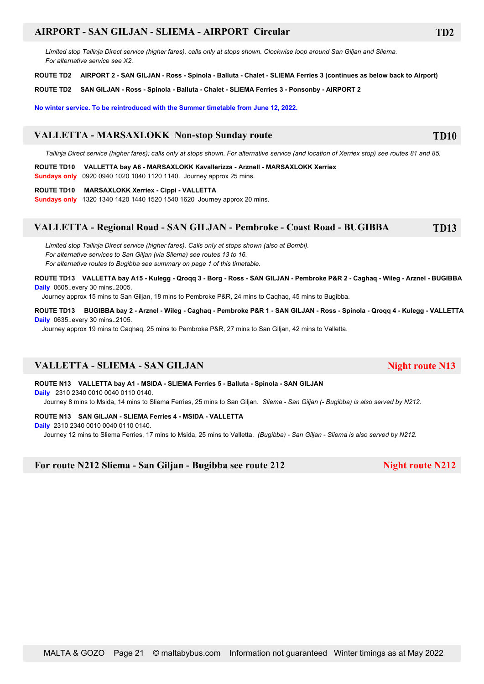### **AIRPORT - SAN GILJAN - SLIEMA - AIRPORT Circular TD2**

 *Limited stop Tallinja Direct service (higher fares), calls only at stops shown. Clockwise loop around San Giljan and Sliema. For alternative service see X2.*

**ROUTE TD2 AIRPORT 2 - SAN GILJAN - Ross - Spinola - Balluta - Chalet - SLIEMA Ferries 3 (continues as below back to Airport)**

**ROUTE TD2 SAN GILJAN - Ross - Spinola - Balluta - Chalet - SLIEMA Ferries 3 - Ponsonby - AIRPORT 2**

**No winter service. To be reintroduced with the Summer timetable from June 12, 2022.**

### **VALLETTA - MARSAXLOKK Non-stop Sunday route TD10**

 *Tallinja Direct service (higher fares); calls only at stops shown. For alternative service (and location of Xerriex stop) see routes 81 and 85.*

**ROUTE TD10 VALLETTA bay A6 - MARSAXLOKK Kavallerizza - Arznell - MARSAXLOKK Xerriex**

**Sundays only** 0920 0940 1020 1040 1120 1140. Journey approx 25 mins.

#### **ROUTE TD10 MARSAXLOKK Xerriex - Cippi - VALLETTA**

**Sundays only** 1320 1340 1420 1440 1520 1540 1620 Journey approx 20 mins.

### **VALLETTA - Regional Road - SAN GILJAN - Pembroke - Coast Road - BUGIBBA TD13**

 *Limited stop Tallinja Direct service (higher fares). Calls only at stops shown (also at Bombi). For alternative services to San Giljan (via Sliema) see routes 13 to 16. For alternative routes to Bugibba see summary on page 1 of this timetable.*

**ROUTE TD13 VALLETTA bay A15 - Kulegg - Qroqq 3 - Borg - Ross - SAN GILJAN - Pembroke P&R 2 - Caghaq - Wileg - Arznel - BUGIBBA Daily** 0605..every 30 mins..2005.

Journey approx 15 mins to San Giljan, 18 mins to Pembroke P&R, 24 mins to Caqhaq, 45 mins to Bugibba.

**ROUTE TD13 BUGIBBA bay 2 - Arznel - Wileg - Caghaq - Pembroke P&R 1 - SAN GILJAN - Ross - Spinola - Qroqq 4 - Kulegg - VALLETTA Daily** 0635..every 30 mins..2105.

Journey approx 19 mins to Caqhaq, 25 mins to Pembroke P&R, 27 mins to San Giljan, 42 mins to Valletta.

### **VALLETTA - SLIEMA - SAN GILJAN Night route N13**

**ROUTE N13 VALLETTA bay A1 - MSIDA - SLIEMA Ferries 5 - Balluta - Spinola - SAN GILJAN**

**Daily** 2310 2340 0010 0040 0110 0140.

Journey 8 mins to Msida, 14 mins to Sliema Ferries, 25 mins to San Giljan. *Sliema - San Giljan (- Bugibba) is also served by N212.*

#### **ROUTE N13 SAN GILJAN - SLIEMA Ferries 4 - MSIDA - VALLETTA**

**Daily** 2310 2340 0010 0040 0110 0140.

Journey 12 mins to Sliema Ferries, 17 mins to Msida, 25 mins to Valletta. *(Bugibba)* - *San Giljan - Sliema is also served by N212.*

**For route N212 Sliema - San Giljan - Bugibba see route 212 Night route N212**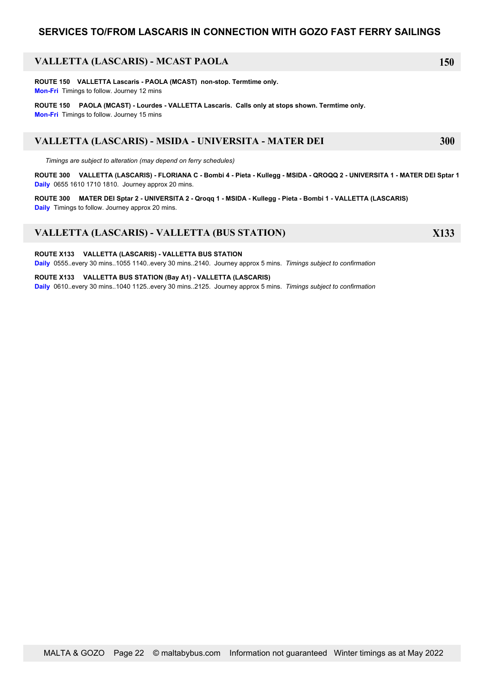### **SERVICES TO/FROM LASCARIS IN CONNECTION WITH GOZO FAST FERRY SAILINGS**

### **VALLETTA (LASCARIS) - MCAST PAOLA 150**

**ROUTE 150 VALLETTA Lascaris - PAOLA (MCAST) non-stop. Termtime only. Mon-Fri** Timings to follow. Journey 12 mins

**ROUTE 150 PAOLA (MCAST) - Lourdes - VALLETTA Lascaris. Calls only at stops shown. Termtime only. Mon-Fri** Timings to follow. Journey 15 mins

### **VALLETTA (LASCARIS) - MSIDA - UNIVERSITA - MATER DEI 300**

 *Timings are subject to alteration (may depend on ferry schedules)*

**ROUTE 300 VALLETTA (LASCARIS) - FLORIANA C - Bombi 4 - Pieta - Kullegg - MSIDA - QROQQ 2 - UNIVERSITA 1 - MATER DEI Sptar 1 Daily** 0655 1610 1710 1810. Journey approx 20 mins.

**ROUTE 300 MATER DEI Sptar 2 - UNIVERSITA 2 - Qroqq 1 - MSIDA - Kullegg - Pieta - Bombi 1 - VALLETTA (LASCARIS) Daily** Timings to follow. Journey approx 20 mins.

### **VALLETTA (LASCARIS) - VALLETTA (BUS STATION) X133**

**ROUTE X133 VALLETTA (LASCARIS) - VALLETTA BUS STATION Daily** 0555..every 30 mins..1055 1140..every 30 mins..2140. Journey approx 5 mins. *Timings subject to confirmation*

**ROUTE X133 VALLETTA BUS STATION (Bay A1) - VALLETTA (LASCARIS) Daily** 0610..every 30 mins..1040 1125..every 30 mins..2125. Journey approx 5 mins. *Timings subject to confirmation*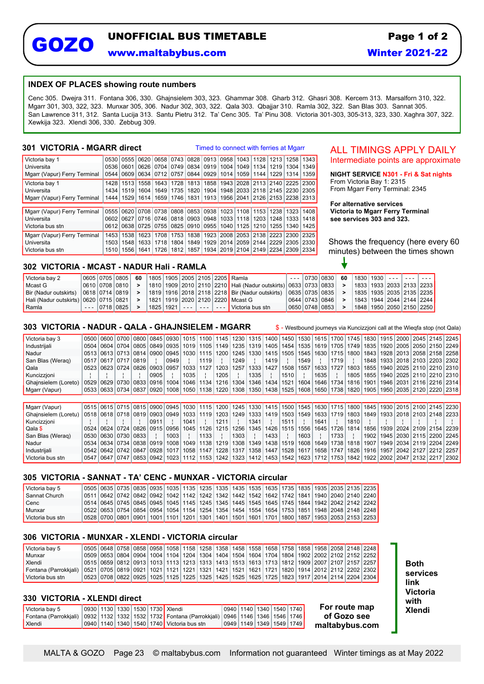# **GOZO UNOFFICIAL BUS TIMETABLE**

**www.maltabybus.com**

### **INDEX OF PLACES showing route numbers**

Cenc 305. Dwejra 311. Fontana 306, 330. Ghajnsielem 303, 323. Ghammar 308. Gharb 312. Ghasri 308. Kercem 313. Marsalforn 310, 322. Mgarr 301, 303, 322, 323. Munxar 305, 306. Nadur 302, 303, 322. Qala 303. Qbajjar 310. Ramla 302, 322. San Blas 303. Sannat 305. San Lawrence 311, 312. Santa Lucija 313. Santu Pietru 312. Ta' Cenc 305. Ta' Pinu 308. Victoria 301-303, 305-313, 323, 330. Xaghra 307, 322. Xewkija 323. Xlendi 306, 330. Zebbug 309.

### **301 VICTORIA - MGARR direct**

Timed to connect with ferries at Mgarr

| Victoria bay 1               | 0530 |             |      |                |                           |      |                |               | 0555 0620 0658 0743 0828 0913 0958 1043 1128 1213 1258 1343                |                           |                    |      |
|------------------------------|------|-------------|------|----------------|---------------------------|------|----------------|---------------|----------------------------------------------------------------------------|---------------------------|--------------------|------|
| Universita                   | 0536 | 0601        |      | 0626 0704      |                           |      | 0749 0834 0919 | 1004   1049   |                                                                            | 1134   1219   1304   1349 |                    |      |
| Mgarr (Vapur) Ferry Terminal | 0544 | 0609        | 0634 | 0712           |                           |      | 0757 0844 0929 | 1014 1059     | 1144                                                                       |                           | 1229 1314 1359     |      |
| Victoria bay 1               | 1428 | 1513        | 1558 | 1643           | 1728                      |      | 1813   1858    |               | 1943   2028   2113   2140   2225   2300                                    |                           |                    |      |
| Universita                   |      | 1434   1519 | 1604 |                | 1649   1735   1820   1904 |      |                |               | 1948   2033   2118   2145   2230   2305                                    |                           |                    |      |
| Mgarr (Vapur) Ferry Terminal |      | 1444   1529 |      |                |                           |      |                |               | 1614   1659   1746   1831   1913   1956   2041   2126   2153   2238   2313 |                           |                    |      |
|                              |      |             |      |                |                           |      |                |               |                                                                            |                           |                    |      |
| Mgarr (Vapur) Ferry Terminal | 0555 |             |      | 0620 0708 0738 |                           |      | 0808 0853 0938 |               | 1023   1108   1153   1238   1323   1408                                    |                           |                    |      |
| Universita                   | 0602 |             |      | 0627 0716 0746 |                           |      | 0818 0903 0948 | $1033$   1118 | 1203                                                                       |                           | 1248   1333        | 1418 |
| Victoria bus stn             | 0612 |             |      | 0638 0725 0755 |                           |      | 0825 0910 0955 |               | 1040   1125   1210                                                         |                           | 1255   1340   1425 |      |
| Maarr (Vapur) Ferry Terminal | 1453 | 1538        | 1623 | 1708           | 1753                      |      | 1838   1923    |               | 2008 2053 2138 2223                                                        |                           | 2300 2325          |      |
| Universita                   | 1503 | 1548        | 1633 | 1718           |                           |      |                |               | 1804   1849   1929   2014   2059   2144   2229   2305   2330               |                           |                    |      |
| Victoria bus stn             | 1510 | 1556        | 1641 | 1726           | 1812                      | 1857 |                |               | 1934   2019   2104   2149   2234   2309   2334                             |                           |                    |      |

### ALL TIMINGS APPLY DAILY Intermediate points are approximate

**NIGHT SERVICE N301 - Fri & Sat nights** From Victoria Bay 1: 2315 From Mgarr Ferry Terminal: 2345

**For alternative services Victoria to Mgarr Ferry Terminal see services 303 and 323.**

Shows the frequency (here every 60 minutes) between the times shown

### **302 VICTORIA - MCAST - NADUR Hali - RAMLA**

| Victoria bay 2                              |  | 0605   0705   0805   60 |  |  |  | 1805   1905   2005   2105   2205 <b> </b> Ramla                                    |  |                    |  |  | $- -$ [0730 0830  60  1830 1930  - -   - -   - - |
|---------------------------------------------|--|-------------------------|--|--|--|------------------------------------------------------------------------------------|--|--------------------|--|--|--------------------------------------------------|
| Mcast G                                     |  | 0610   0708   0810      |  |  |  | 1810   1909   2010   2110   2210   Hali (Nadur outskirts)   0633   0733   0833   _ |  |                    |  |  | 1833   1933   2033   2133   2233                 |
| Bir (Nadur outskirts)   0618   0714   0819  |  |                         |  |  |  | 1819   1916   2018   2118   2218 <b> </b> Bir (Nadur outskirts)                    |  | 0635   0735   0835 |  |  | 1835   1935   2035   2135   2235                 |
| Hali (Nadur outskirts)   0620   0715   0821 |  |                         |  |  |  | <sup>1</sup> 1821   1919   2020   2120   2220 <b> </b> Mcast G                     |  | 0644 0743 0846     |  |  | 1843   1944   2044   2144   2244                 |
| Ramla                                       |  | $- - 1071810825$        |  |  |  | 1825   1921   - - -   - - -   - - -   Victoria bus stn                             |  | 0650   0748   0853 |  |  | 1848   1950   2050   2150   2250                 |

### **303 VICTORIA - NADUR - QALA - GHAJNSIELEM - MGARR** \$ - Westbound journeys via Kuncizzjoni call at the Wieqfa stop (not Qala)

 Victoria bay 3 0500 0600 0700 0800 0845 0930 1015 1100 1145 1230 1315 1400 1450 1530 1615 1700 1745 1830 1915 2000 2045 2145 2245 Industrijali 0504 0604 0704 0805 0849 0935 1019 1105 1149 1235 1319 1405 1454 1535 1619 1705 1749 1835 1920 2005 2050 2150 2249 Nadur 0513 0613 0713 0814 0900 0945 1030 1115 1200 1245 1330 1415 1505 1545 1630 1715 1800 1843 1928 2013 2058 2158 2258 0517 0617 0717 0819 | 0949 | 1119 | 1249 | 1419 | 1549 | 1719 | 1848 1933 2018 2103 2203 2302 Qala 0523 0623 0724 0826 0903 0957 1033 1127 1203 1257 1333 1427 1508 1557 1633 1727 1803 1855 1940 2025 2110 2210 2310 Kuncizzjoni ||||||||||0905 ||1035 ||1205 ||1335 ||1510 ||1635 ||1805 |1855 |1940 2025 |2110 |2210 |2310 Ghajnsielem (Loreto) 0529 0629 0730 0833 0916 1004 1046 1134 1216 1304 1346 1434 1521 1604 1646 1734 1816 1901 1946 2031 2116 2216 2314<br>Maarr (Vapur) 0533 0633 0734 0837 0920 1008 1050 1138 1220 1308 1350 1438 1525 1608 16 Mgarr (Vapur) 0533 0633 0734 0837 0920 1008 1050 1138 1220 1308 1350 1438 1525 1608 1650 1738 1820 1905

| Mgarr (Vapur)                                                                                                                                                                                       |  |                           |      |      |      |      |      |      |      |      |      |      |      |      |      |  |  | 0515   0615   0715   0815   0900   0945   1030   1115   1200   1245   1330   1415   1500   1545   1630   1715   1800   1845   1930   2015   2100   2145   2230 |
|-----------------------------------------------------------------------------------------------------------------------------------------------------------------------------------------------------|--|---------------------------|------|------|------|------|------|------|------|------|------|------|------|------|------|--|--|----------------------------------------------------------------------------------------------------------------------------------------------------------------|
| Ghainsielem (Loretu)   0518   0618   0718   0819   0903   0949   1033   1119   1203   1249   1333   1419   1503   1549   1633   1719   1803   1849   1933   2018   2103   2108   2103   2148   2233 |  |                           |      |      |      |      |      |      |      |      |      |      |      |      |      |  |  |                                                                                                                                                                |
| Kuncizzioni                                                                                                                                                                                         |  |                           | 0911 |      | 1041 |      | 1211 |      | 1341 |      | 1511 |      | 1641 |      | 1810 |  |  |                                                                                                                                                                |
| <b>Qala</b> \$                                                                                                                                                                                      |  |                           |      |      |      |      |      |      |      |      |      |      |      |      |      |  |  | 0524 0624 0724 0826 0915 0956 1045 1126 1215 1256 1345 1426 1515 1556 1645 1726 1814 1856 1939 2024 2109 2154 2239                                             |
| San Blas (Werag)                                                                                                                                                                                    |  | 0530   0630   0730   0833 |      | 1003 |      | 1133 |      | 1303 |      | 1433 |      | 1603 |      | 1733 |      |  |  | 1902   1945   2030   2115   2200   2245                                                                                                                        |
| <b>Nadur</b>                                                                                                                                                                                        |  |                           |      |      |      |      |      |      |      |      |      |      |      |      |      |  |  | 0534   0634   0734   0838   0919   1008   1049   1138   1219   1308   1349   1438   1519   1608   1649   1738   1818   1907   1949   2034   2119   2204   2219 |
| Industriiali                                                                                                                                                                                        |  |                           |      |      |      |      |      |      |      |      |      |      |      |      |      |  |  | 0542 0642 0742 0847 0928 1017 1058 1147 1228 1317 1358 1447 1528 1617 1658 1747 1826 1916 1957 2042 2127 2212 2257                                             |
| Victoria bus stn                                                                                                                                                                                    |  |                           |      |      |      |      |      |      |      |      |      |      |      |      |      |  |  | 0547 0647 0747 0853 0942 1023 1112 1153 1242 1323 1412 1453 1542 1623 1712 1753 1842 1922 2002 2047 2132 2217 2302                                             |

### **305 VICTORIA - SANNAT - TA' CENC - MUNXAR - VICTORIA circular**

| Victoria bay 5   |  |  |  |  |  |  |  |  | 0505   0635   0735   0835   0935   1035   1135   1235   1335   1435   1535   1635   1735   1835   1935   2035   2135   2235 |
|------------------|--|--|--|--|--|--|--|--|-----------------------------------------------------------------------------------------------------------------------------|
| Sannat Church    |  |  |  |  |  |  |  |  | 0511 0642 0742 0842 0942 1042 1142 1242 1342 1442 1542 1642 1742 1841 1940 2040 2140 2240                                   |
| <b>Cenc</b>      |  |  |  |  |  |  |  |  | 0514 0645 0745 0845 0945 1045 1145 1245 1345 1445 1545 1645 1745 1844 1942 2042 2142 2242 1                                 |
| Munxar           |  |  |  |  |  |  |  |  | 0522 0653 0754 0854 0954 1054 1154 1254 1354 1454 1554 1654 1753 1851 1948 2048 2148 2248                                   |
| Victoria bus stn |  |  |  |  |  |  |  |  | 0528   0700   0801   0901   1001   1101   1201   1301   1401   1501   1601   1701   1800   1857   1953   2053   2153   2253 |

### **306 VICTORIA - MUNXAR - XLENDI - VICTORIA circular**

| Victoria bav 5        |  |  |  |  |  |  |  |  | 00505   1850   20758   2086   20958   2068   2076   2087   2088   2088   2088   2089   2098   2098   2098   2148   2248   2348   2148   2248   2348   2150   2160   2160   2160   2160   2160   2160   2160   2160   2160   216 |
|-----------------------|--|--|--|--|--|--|--|--|---------------------------------------------------------------------------------------------------------------------------------------------------------------------------------------------------------------------------------|
| Munxar                |  |  |  |  |  |  |  |  | 0509 0653 0804 0904 1004 1104 1204 1304 1404 1504 1604 1704 1804 1902 2002 2102 2152 2252                                                                                                                                       |
| Xlendi                |  |  |  |  |  |  |  |  | 0515 0659 0812 0913 1013 1113 1213 1313 1413 1513 1613 1713 1812 1909 2007 2107 2157 2257 1                                                                                                                                     |
| Fontana (Parrokkiali) |  |  |  |  |  |  |  |  | 0521 0705 0819 0921 1021 1221 1221 1321 1421 1521 1621 1721 1820 1914 2012 2112 2202 2302                                                                                                                                       |
| l Victoria bus stn    |  |  |  |  |  |  |  |  | 0523   0708   0822   0925   1025   1125   1225   1325   1425   1525   1625   1725   1823   1917   2014   2114   2204   2304                                                                                                     |

#### **330 VICTORIA - XLENDI direct**

| Victoria bay 5                                                                                                     |  |  | 0930   1130   1330   1530   1730   Xlendi           |  | <u>  0940   1140   1340   1540   1740   </u> |  |   |
|--------------------------------------------------------------------------------------------------------------------|--|--|-----------------------------------------------------|--|----------------------------------------------|--|---|
| LFontana (Parrokkiali)  0932   1132   1332   1532   1732   Fontana (Parrokkiali)  0946   1146   1346   1546   1746 |  |  |                                                     |  |                                              |  |   |
| Xlendi                                                                                                             |  |  | 0940   1140   1340   1540   1740   Victoria bus stn |  | 0949   1149   1349   1549   1749             |  | m |

**For route map** Xlendi **of Gozo see maltabybus.com**

**Both services link Victoria with**